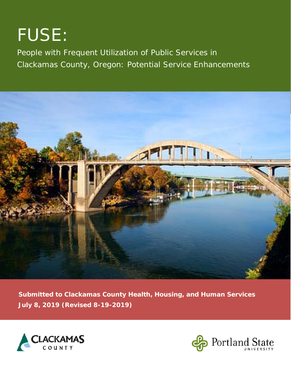# FUSE:

People with Frequent Utilization of Public Services in Clackamas County, Oregon: Potential Service Enhancements



**Submitted to Clackamas County Health, Housing, and Human Services July 8, 2019 (Revised 8-19-2019)** 



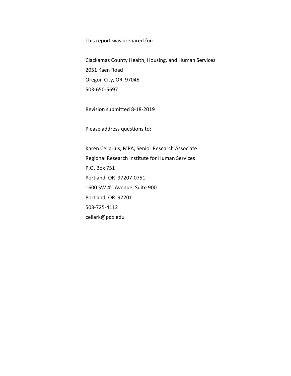This report was prepared for:

Clackamas County Health, Housing, and Human Services 2051 Kaen Road Oregon City, OR 97045 503‐650‐5697

Revision submitted 8‐18‐2019

Please address questions to:

Karen Cellarius, MPA, Senior Research Associate Regional Research Institute for Human Services P.O. Box 751 Portland, OR 97207‐0751 1600 SW 4th Avenue, Suite 900 Portland, OR 97201 503‐725‐4112 cellark@pdx.edu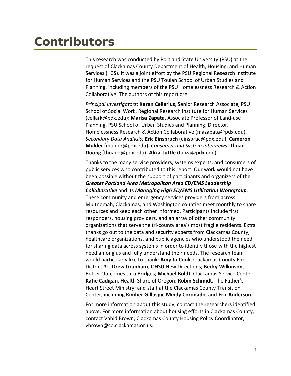## **Contributors**

This research was conducted by Portland State University (PSU) at the request of Clackamas County Department of Health, Housing, and Human Services (H3S). It was a joint effort by the PSU Regional Research Institute for Human Services and the PSU Toulan School of Urban Studies and Planning, including members of the PSU Homelessness Research & Action Collaborative. The authors of this report are:

*Principal Investigators*: **Karen Cellarius**, Senior Research Associate, PSU School of Social Work, Regional Research Institute for Human Services (cellark@pdx.edu); **Marisa Zapata**, Associate Professor of Land‐use Planning, PSU School of Urban Studies and Planning; Director, Homelessness Research & Action Collaborative (mazapata@pdx.edu). *Secondary Data Analysis:* **Eric Einspruch** (einspruc@pdx.edu); **Cameron Mulder** (mulder@pdx.edu). *Consumer and System Interviews:* **Thuan Duong** (thuand@pdx.edu); **Aliza Tuttle** (taliza@pdx.edu).

Thanks to the many service providers, systems experts, and consumers of public services who contributed to this report. Our work would not have been possible without the support of participants and organizers of the *Greater Portland Area Metropolitan Area ED/EMS Leadership Collaborative* and its *Managing High ED/EMS Utilization Workgroup*. These community and emergency services providers from across Multnomah, Clackamas, and Washington counties meet monthly to share resources and keep each other informed. Participants include first responders, housing providers, and an array of other community organizations that serve the tri‐county area's most fragile residents. Extra thanks go out to the data and security experts from Clackamas County, healthcare organizations, and public agencies who understood the need for sharing data across systems in order to identify those with the highest need among us and fully understand their needs. The research team would particularly like to thank: **Amy Jo Cook**, Clackamas County Fire District #1; **Drew Grabham**, OHSU New Directions; **Becky Wilkinson**, Better Outcomes thru Bridges; **Michael Boldt**, Clackamas Service Center; **Katie Cadigan**, Health Share of Oregon; **Robin Schmidt**, The Father's Heart Street Ministry; and staff at the Clackamas County Transition Center, including **Kimber Gillaspy, Mindy Coronado**, and **Eric Anderson**.

For more information about this study, contact the researchers identified above. For more information about housing efforts in Clackamas County, contact Vahid Brown, Clackamas County Housing Policy Coordinator, vbrown@co.clackamas.or.us.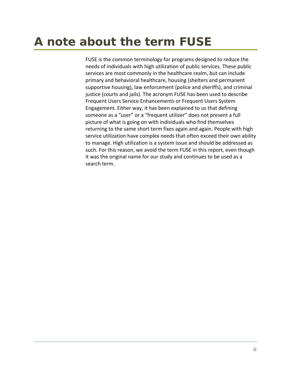## **A note about the term** *FUSE*

FUSE is the common terminology for programs designed to reduce the needs of individuals with high utilization of public services. These public services are most commonly in the healthcare realm, but can include primary and behavioral healthcare, housing (shelters and permanent supportive housing), law enforcement (police and sheriffs), and criminal justice (courts and jails). The acronym FUSE has been used to describe Frequent Users Service Enhancements or Frequent Users System Engagement. Either way, it has been explained to us that defining someone as a "user" or a "frequent utilizer" does not present a full picture of what is going on with individuals who find themselves returning to the same short term fixes again and again. People with high service utilization have complex needs that often exceed their own ability to manage. High utilization is a system issue and should be addressed as such. For this reason, we avoid the term FUSE in this report, even though it was the original name for our study and continues to be used as a search term.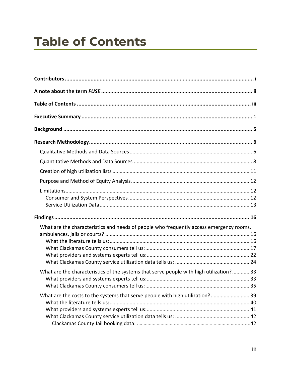## **Table of Contents**

| What are the characteristics and needs of people who frequently access emergency rooms, |
|-----------------------------------------------------------------------------------------|
| What are the characteristics of the systems that serve people with high utilization? 33 |
| What are the costs to the systems that serve people with high utilization? 39           |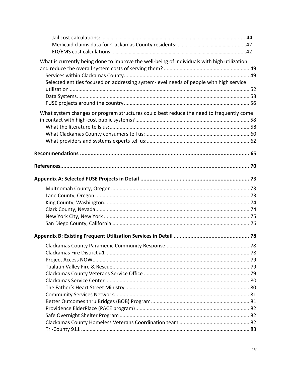| What is currently being done to improve the well-being of individuals with high utilization |  |
|---------------------------------------------------------------------------------------------|--|
|                                                                                             |  |
|                                                                                             |  |
| Selected entities focused on addressing system-level needs of people with high service      |  |
|                                                                                             |  |
|                                                                                             |  |
|                                                                                             |  |
| What system changes or program structures could best reduce the need to frequently come     |  |
|                                                                                             |  |
|                                                                                             |  |
|                                                                                             |  |
|                                                                                             |  |
|                                                                                             |  |
|                                                                                             |  |
|                                                                                             |  |
|                                                                                             |  |
|                                                                                             |  |
|                                                                                             |  |
|                                                                                             |  |
|                                                                                             |  |
|                                                                                             |  |
|                                                                                             |  |
|                                                                                             |  |
|                                                                                             |  |
|                                                                                             |  |
|                                                                                             |  |
|                                                                                             |  |
|                                                                                             |  |
|                                                                                             |  |
|                                                                                             |  |
|                                                                                             |  |
|                                                                                             |  |
|                                                                                             |  |
|                                                                                             |  |
|                                                                                             |  |
|                                                                                             |  |
|                                                                                             |  |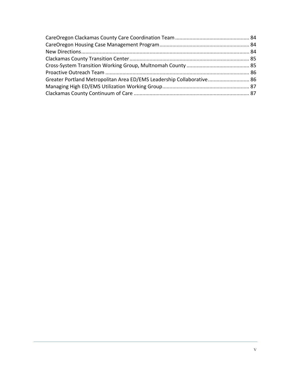| Greater Portland Metropolitan Area ED/EMS Leadership Collaborative 86 |  |
|-----------------------------------------------------------------------|--|
|                                                                       |  |
|                                                                       |  |
|                                                                       |  |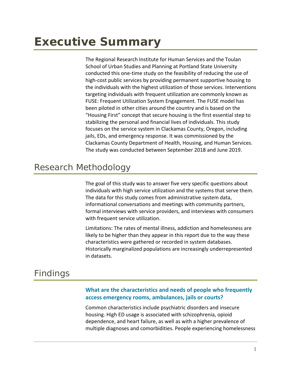The Regional Research Institute for Human Services and the Toulan School of Urban Studies and Planning at Portland State University conducted this one‐time study on the feasibility of reducing the use of high-cost public services by providing permanent supportive housing to the individuals with the highest utilization of those services. Interventions targeting individuals with frequent utilization are commonly known as FUSE: Frequent Utilization System Engagement. The FUSE model has been piloted in other cities around the country and is based on the "Housing First" concept that secure housing is the first essential step to stabilizing the personal and financial lives of individuals. This study focuses on the service system in Clackamas County, Oregon, including jails, EDs, and emergency response. It was commissioned by the Clackamas County Department of Health, Housing, and Human Services. The study was conducted between September 2018 and June 2019.

### Research Methodology

The goal of this study was to answer five very specific questions about individuals with high service utilization and the systems that serve them. The data for this study comes from administrative system data, informational conversations and meetings with community partners, formal interviews with service providers, and interviews with consumers with frequent service utilization.

Limitations: The rates of mental illness, addiction and homelessness are likely to be higher than they appear in this report due to the way these characteristics were gathered or recorded in system databases. Historically marginalized populations are increasingly underrepresented in datasets.

### Findings

### **What are the characteristics and needs of people who frequently access emergency rooms, ambulances, jails or courts?**

Common characteristics include psychiatric disorders and insecure housing. High ED usage is associated with schizophrenia, opioid dependence, and heart failure, as well as with a higher prevalence of multiple diagnoses and comorbidities. People experiencing homelessness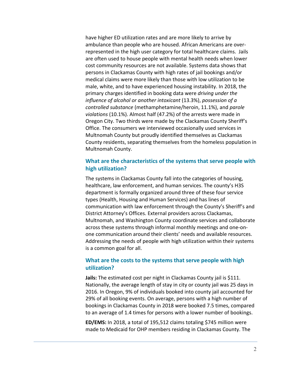have higher ED utilization rates and are more likely to arrive by ambulance than people who are housed. African Americans are over‐ represented in the high user category for total healthcare claims. Jails are often used to house people with mental health needs when lower cost community resources are not available. Systems data shows that persons in Clackamas County with high rates of jail bookings and/or medical claims were more likely than those with low utilization to be male, white, and to have experienced housing instability. In 2018, the primary charges identified in booking data were *driving under the influence of alcohol or another intoxicant* (13.3%), *possession of a controlled substance* (methamphetamine/heroin, 11.1%), and *parole violations* (10.1%). Almost half (47.2%) of the arrests were made in Oregon City. Two thirds were made by the Clackamas County Sheriff's Office. The consumers we interviewed occasionally used services in Multnomah County but proudly identified themselves as Clackamas County residents, separating themselves from the homeless population in Multnomah County.

### **What are the characteristics of the systems that serve people with high utilization?**

The systems in Clackamas County fall into the categories of housing, healthcare, law enforcement, and human services. The county's H3S department is formally organized around three of these four service types (Health, Housing and Human Services) and has lines of communication with law enforcement through the County's Sheriff's and District Attorney's Offices. External providers across Clackamas, Multnomah, and Washington County coordinate services and collaborate across these systems through informal monthly meetings and one‐on‐ one communication around their clients' needs and available resources. Addressing the needs of people with high utilization within their systems is a common goal for all.

### **What are the costs to the systems that serve people with high utilization?**

**Jails:** The estimated cost per night in Clackamas County jail is \$111. Nationally, the average length of stay in city or county jail was 25 days in 2016. In Oregon, 9% of individuals booked into county jail accounted for 29% of all booking events. On average, persons with a high number of bookings in Clackamas County in 2018 were booked 7.5 times, compared to an average of 1.4 times for persons with a lower number of bookings.

**ED/EMS:** In 2018, a total of 195,512 claims totaling \$745 million were made to Medicaid for OHP members residing in Clackamas County. The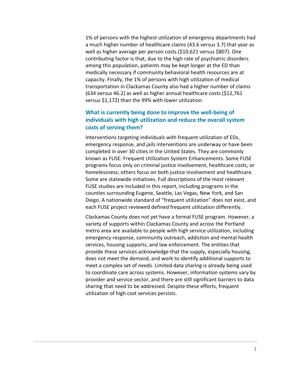1% of persons with the highest utilization of emergency departments had a much higher number of healthcare claims (43.6 versus 3.7) that year as well as higher average per person costs (\$10,621 versus \$807). One contributing factor is that, due to the high rate of psychiatric disorders among this population, patients may be kept longer at the ED than medically necessary if community behavioral health resources are at capacity. Finally, the 1% of persons with high utilization of medical transportation in Clackamas County also had a higher number of claims (634 versus 46.2) as well as higher annual healthcare costs (\$12,761 versus \$1,172) than the 99% with lower utilization.

### **What is currently being done to improve the well‐being of individuals with high utilization and reduce the overall system costs of serving them?**

Interventions targeting individuals with frequent utilization of EDs, emergency response, and jails interventions are underway or have been completed in over 30 cities in the United States. They are commonly known as FUSE: Frequent Utilization System Enhancements. Some FUSE programs focus only on criminal justice involvement, healthcare costs, or homelessness; others focus on both justice involvement and healthcare. Some are statewide initiatives. Full descriptions of the most relevant FUSE studies are included in this report, including programs in the counties surrounding Eugene, Seattle, Las Vegas, New York, and San Diego. A nationwide standard of "frequent utilization" does not exist, and each FUSE project reviewed defined frequent utilization differently.

Clackamas County does not yet have a formal FUSE program. However, a variety of supports within Clackamas County and across the Portland metro area are available to people with high service utilization, including emergency response, community outreach, addiction and mental health services, housing supports, and law enforcement. The entities that provide these services acknowledge that the supply, especially housing, does not meet the demand, and work to identify additional supports to meet a complex set of needs. Limited data sharing is already being used to coordinate care across systems. However, information systems vary by provider and service sector, and there are still significant barriers to data sharing that need to be addressed. Despite these efforts, frequent utilization of high cost services persists.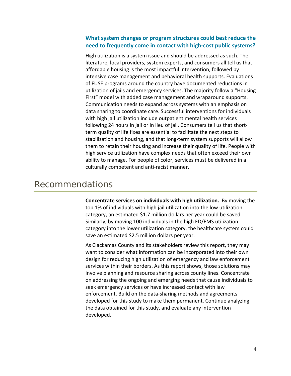### **What system changes or program structures could best reduce the need to frequently come in contact with high‐cost public systems?**

High utilization is a system issue and should be addressed as such. The literature, local providers, system experts, and consumers all tell us that affordable housing is the most impactful intervention, followed by intensive case management and behavioral health supports. Evaluations of FUSE programs around the country have documented reductions in utilization of jails and emergency services. The majority follow a "Housing First" model with added case management and wraparound supports. Communication needs to expand across systems with an emphasis on data sharing to coordinate care. Successful interventions for individuals with high jail utilization include outpatient mental health services following 24 hours in jail or in lieu of jail. Consumers tell us that short‐ term quality of life fixes are essential to facilitate the next steps to stabilization and housing, and that long‐term system supports will allow them to retain their housing and increase their quality of life. People with high service utilization have complex needs that often exceed their own ability to manage. For people of color, services must be delivered in a culturally competent and anti‐racist manner.

### Recommendations

**Concentrate services on individuals with high utilization.** By moving the top 1% of individuals with high jail utilization into the low utilization category, an estimated \$1.7 million dollars per year could be saved Similarly, by moving 100 individuals in the high ED/EMS utilization category into the lower utilization category, the healthcare system could save an estimated \$2.5 million dollars per year.

As Clackamas County and its stakeholders review this report, they may want to consider what information can be incorporated into their own design for reducing high utilization of emergency and law enforcement services within their borders. As this report shows, those solutions may involve planning and resource sharing across county lines. Concentrate on addressing the ongoing and emerging needs that cause individuals to seek emergency services or have increased contact with law enforcement. Build on the data‐sharing methods and agreements developed for this study to make them permanent. Continue analyzing the data obtained for this study, and evaluate any intervention developed.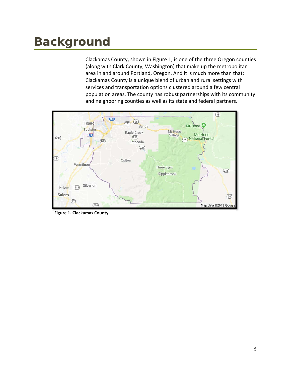## **Background**

Clackamas County, shown in Figure 1, is one of the three Oregon counties (along with Clark County, Washington) that make up the metropolitan area in and around Portland, Oregon. And it is much more than that: Clackamas County is a unique blend of urban and rural settings with services and transportation options clustered around a few central population areas. The county has robust partnerships with its community and neighboring counties as well as its state and federal partners.



**Figure 1. Clackamas County**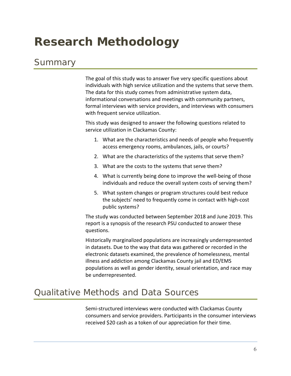## **Research Methodology**

### **Summary**

The goal of this study was to answer five very specific questions about individuals with high service utilization and the systems that serve them. The data for this study comes from administrative system data, informational conversations and meetings with community partners, formal interviews with service providers, and interviews with consumers with frequent service utilization.

This study was designed to answer the following questions related to service utilization in Clackamas County:

- 1. What are the characteristics and needs of people who frequently access emergency rooms, ambulances, jails, or courts?
- 2. What are the characteristics of the systems that serve them?
- 3. What are the costs to the systems that serve them?
- 4. What is currently being done to improve the well‐being of those individuals and reduce the overall system costs of serving them?
- 5. What system changes or program structures could best reduce the subjects' need to frequently come in contact with high‐cost public systems?

The study was conducted between September 2018 and June 2019. This report is a synopsis of the research PSU conducted to answer these questions.

Historically marginalized populations are increasingly underrepresented in datasets. Due to the way that data was gathered or recorded in the electronic datasets examined, the prevalence of homelessness, mental illness and addiction among Clackamas County jail and ED/EMS populations as well as gender identity, sexual orientation, and race may be underrepresented.

### Qualitative Methods and Data Sources

Semi‐structured interviews were conducted with Clackamas County consumers and service providers. Participants in the consumer interviews received \$20 cash as a token of our appreciation for their time.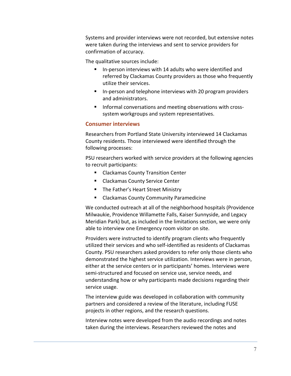Systems and provider interviews were not recorded, but extensive notes were taken during the interviews and sent to service providers for confirmation of accuracy.

The qualitative sources include:

- In-person interviews with 14 adults who were identified and referred by Clackamas County providers as those who frequently utilize their services.
- In-person and telephone interviews with 20 program providers and administrators.
- Informal conversations and meeting observations with crosssystem workgroups and system representatives.

#### **Consumer interviews**

Researchers from Portland State University interviewed 14 Clackamas County residents. Those interviewed were identified through the following processes:

PSU researchers worked with service providers at the following agencies to recruit participants:

- **E** Clackamas County Transition Center
- **EXEC** Clackamas County Service Center
- **The Father's Heart Street Ministry**
- Clackamas County Community Paramedicine

We conducted outreach at all of the neighborhood hospitals (Providence Milwaukie, Providence Willamette Falls, Kaiser Sunnyside, and Legacy Meridian Park) but, as included in the limitations section, we were only able to interview one Emergency room visitor on site.

Providers were instructed to identify program clients who frequently utilized their services and who self‐identified as residents of Clackamas County. PSU researchers asked providers to refer only those clients who demonstrated the highest service utilization. Interviews were in person, either at the service centers or in participants' homes. Interviews were semi‐structured and focused on service use, service needs, and understanding how or why participants made decisions regarding their service usage.

The interview guide was developed in collaboration with community partners and considered a review of the literature, including FUSE projects in other regions, and the research questions.

Interview notes were developed from the audio recordings and notes taken during the interviews. Researchers reviewed the notes and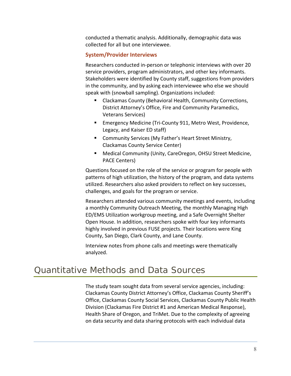conducted a thematic analysis. Additionally, demographic data was collected for all but one interviewee.

### **System/Provider Interviews**

Researchers conducted in‐person or telephonic interviews with over 20 service providers, program administrators, and other key informants. Stakeholders were identified by County staff, suggestions from providers in the community, and by asking each interviewee who else we should speak with (snowball sampling). Organizations included:

- Clackamas County (Behavioral Health, Community Corrections, District Attorney's Office, Fire and Community Paramedics, Veterans Services)
- Emergency Medicine (Tri-County 911, Metro West, Providence, Legacy, and Kaiser ED staff)
- **E** Community Services (My Father's Heart Street Ministry, Clackamas County Service Center)
- Medical Community (Unity, CareOregon, OHSU Street Medicine, PACE Centers)

Questions focused on the role of the service or program for people with patterns of high utilization, the history of the program, and data systems utilized. Researchers also asked providers to reflect on key successes, challenges, and goals for the program or service.

Researchers attended various community meetings and events, including a monthly Community Outreach Meeting, the monthly Managing High ED/EMS Utilization workgroup meeting, and a Safe Overnight Shelter Open House. In addition, researchers spoke with four key informants highly involved in previous FUSE projects. Their locations were King County, San Diego, Clark County, and Lane County.

Interview notes from phone calls and meetings were thematically analyzed.

### Quantitative Methods and Data Sources

The study team sought data from several service agencies, including: Clackamas County District Attorney's Office, Clackamas County Sheriff's Office, Clackamas County Social Services, Clackamas County Public Health Division (Clackamas Fire District #1 and American Medical Response), Health Share of Oregon, and TriMet. Due to the complexity of agreeing on data security and data sharing protocols with each individual data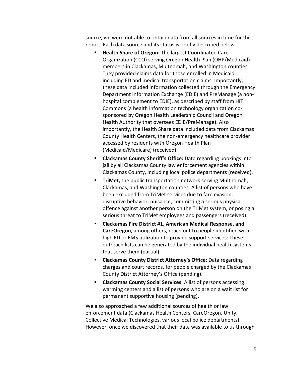source, we were not able to obtain data from all sources in time for this report. Each data source and its status is briefly described below.

- **Health Share of Oregon:** The largest Coordinated Care Organization (CCO) serving Oregon Health Plan (OHP/Medicaid) members in Clackamas, Multnomah, and Washington counties. They provided claims data for those enrolled in Medicaid, including ED and medical transportation claims. Importantly, these data included information collected through the Emergency Department Information Exchange (EDIE) and PreManage (a non‐ hospital complement to EDIE), as described by staff from HIT Commons (a health information technology organization co‐ sponsored by Oregon Health Leadership Council and Oregon Health Authority that oversees EDIE/PreManage). Also importantly, the Health Share data included data from Clackamas County Health Centers, the non‐emergency healthcare provider accessed by residents with Oregon Health Plan (Medicaid/Medicare) (received).
- **Clackamas County Sheriff's Office:** Data regarding bookings into jail by all Clackamas County law enforcement agencies within Clackamas County, including local police departments (received).
- **TriMet,** the public transportation network serving Multnomah, Clackamas, and Washington counties. A list of persons who have been excluded from TriMet services due to fare evasion, disruptive behavior, nuisance, committing a serious physical offence against another person on the TriMet system, or posing a serious threat to TriMet employees and passengers (received).
- **Clackamas Fire District #1, American Medical Response, and CareOregon**, among others, reach out to people identified with high ED or EMS utilization to provide support services: These outreach lists can be generated by the individual health systems that serve them (partial).
- **E** Clackamas County District Attorney's Office: Data regarding charges and court records, for people charged by the Clackamas County District Attorney's Office (pending).
- **Clackamas County Social Services**: A list of persons accessing warming centers and a list of persons who are on a wait list for permanent supportive housing (pending).

We also approached a few additional sources of health or law enforcement data (Clackamas Health Centers, CareOregon, Unity, Collective Medical Technologies, various local police departments). However, once we discovered that their data was available to us through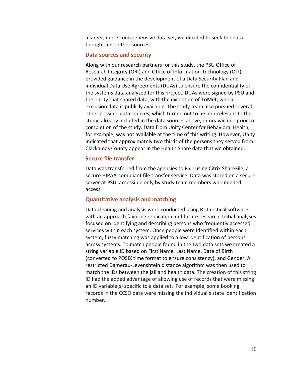a larger, more comprehensive data set, we decided to seek the data though those other sources.

#### **Data sources and security**

Along with our research partners for this study, the PSU Office of Research Integrity (ORI) and Office of Information Technology (OIT) provided guidance in the development of a Data Security Plan and individual Data Use Agreements (DUAs) to ensure the confidentiality of the systems data analyzed for this project. DUAs were signed by PSU and the entity that shared data, with the exception of TriMet, whose exclusion data is publicly available. The study team also pursued several other possible data sources, which turned out to be non‐relevant to the study, already included in the data sources above, or unavailable prior to completion of the study. Data from Unity Center for Behavioral Health, for example, was not available at the time of this writing. However, Unity indicated that approximately two thirds of the persons they served from Clackamas County appear in the Health Share data that we obtained.

#### **Secure file transfer**

Data was transferred from the agencies to PSU using Citrix ShareFile, a secure HIPAA‐compliant file transfer service. Data was stored on a secure server at PSU, accessible only by study team members who needed access.

#### **Quantitative analysis and matching**

Data cleaning and analysis were conducted using R statistical software, with an approach favoring replication and future research. Initial analyses focused on identifying and describing persons who frequently accessed services within each system. Once people were identified within each system, fuzzy matching was applied to allow identification of persons across systems. To match people found in the two data sets we created a string variable ID based on First Name, Last Name, Date of Birth (converted to POSIX time format to ensure consistency), and Gender. A restricted Damerau‐Levenshtein distance algorithm was then used to match the IDs between the jail and health data. The creation of this string ID had the added advantage of allowing use of records that were missing an ID variable(s) specific to a data set. For example, some booking records in the CCSO data were missing the individual's state identification number.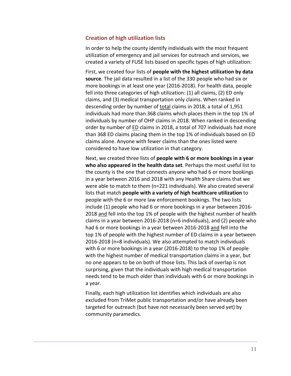### **Creation of high utilization lists**

In order to help the county identify individuals with the most frequent utilization of emergency and jail services for outreach and services, we created a variety of FUSE lists based on specific types of high utilization:

First, we created four lists of **people with the highest utilization by data source**. The jail data resulted in a list of the 330 people who had six or more bookings in at least one year (2016‐2018). For health data, people fell into three categories of high utilization: (1) all claims, (2) ED only claims, and (3) medical transportation only claims. When ranked in descending order by number of total claims in 2018, a total of 1,951 individuals had more than 368 claims which places them in the top 1% of individuals by number of OHP claims in 2018. When ranked in descending order by number of ED claims in 2018, a total of 707 individuals had more than 368 ED claims placing them in the top 1% of individuals based on ED claims alone. Anyone with fewer claims than the ones listed were considered to have low utilization in that category.

Next, we created three lists of **people with 6 or more bookings in a year who also appeared in the health data set**. Perhaps the most useful list to the county is the one that connects anyone who had 6 or more bookings in a year between 2016 and 2018 with any Health Share claims that we were able to match to them (n=221 individuals). We also created several lists that match **people with a variety of high healthcare utilization** to people with the 6 or more law enforcement bookings. The two lists include (1) people who had 6 or more bookings in a year between 2016‐ 2018 and fell into the top 1% of people with the highest number of health claims in a year between 2016‐2018 (n=6 individuals), and (2) people who had 6 or more bookings in a year between 2016‐2018 and fell into the top 1% of people with the highest number of ED claims in a year between 2016‐2018 (n=8 individuals). We also attempted to match individuals with 6 or more bookings in a year (2016‐2018) to the top 1% of people with the highest number of medical transportation claims in a year, but no one appears to be on both of those lists. This lack of overlap is not surprising, given that the individuals with high medical transportation needs tend to be much older than individuals with 6 or more bookings in a year.

Finally, each high utilization list identifies which individuals are also excluded from TriMet public transportation and/or have already been targeted for outreach (but have not necessarily been served yet) by community paramedics.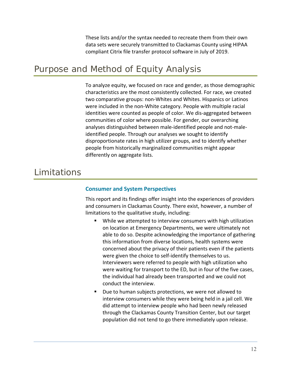These lists and/or the syntax needed to recreate them from their own data sets were securely transmitted to Clackamas County using HIPAA compliant Citrix file transfer protocol software in July of 2019.

### Purpose and Method of Equity Analysis

To analyze equity, we focused on race and gender, as those demographic characteristics are the most consistently collected. For race, we created two comparative groups: non‐Whites and Whites. Hispanics or Latinos were included in the non‐White category. People with multiple racial identities were counted as people of color. We dis‐aggregated between communities of color where possible. For gender, our overarching analyses distinguished between male‐identified people and not‐male‐ identified people. Through our analyses we sought to identify disproportionate rates in high utilizer groups, and to identify whether people from historically marginalized communities might appear differently on aggregate lists.

### Limitations

### **Consumer and System Perspectives**

This report and its findings offer insight into the experiences of providers and consumers in Clackamas County. There exist, however, a number of limitations to the qualitative study, including:

- While we attempted to interview consumers with high utilization on location at Emergency Departments, we were ultimately not able to do so. Despite acknowledging the importance of gathering this information from diverse locations, health systems were concerned about the privacy of their patients even if the patients were given the choice to self-identify themselves to us. Interviewers were referred to people with high utilization who were waiting for transport to the ED, but in four of the five cases, the individual had already been transported and we could not conduct the interview.
- Due to human subjects protections, we were not allowed to interview consumers while they were being held in a jail cell. We did attempt to interview people who had been newly released through the Clackamas County Transition Center, but our target population did not tend to go there immediately upon release.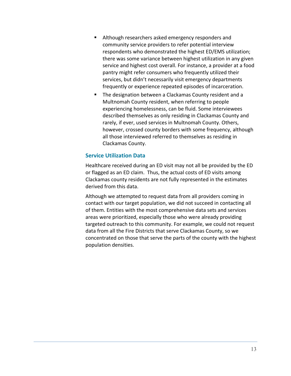- Although researchers asked emergency responders and community service providers to refer potential interview respondents who demonstrated the highest ED/EMS utilization; there was some variance between highest utilization in any given service and highest cost overall. For instance, a provider at a food pantry might refer consumers who frequently utilized their services, but didn't necessarily visit emergency departments frequently or experience repeated episodes of incarceration.
- The designation between a Clackamas County resident and a Multnomah County resident, when referring to people experiencing homelessness, can be fluid. Some interviewees described themselves as only residing in Clackamas County and rarely, if ever, used services in Multnomah County. Others, however, crossed county borders with some frequency, although all those interviewed referred to themselves as residing in Clackamas County.

### **Service Utilization Data**

Healthcare received during an ED visit may not all be provided by the ED or flagged as an ED claim. Thus, the actual costs of ED visits among Clackamas county residents are not fully represented in the estimates derived from this data.

Although we attempted to request data from all providers coming in contact with our target population, we did not succeed in contacting all of them. Entities with the most comprehensive data sets and services areas were prioritized, especially those who were already providing targeted outreach to this community. For example, we could not request data from all the Fire Districts that serve Clackamas County, so we concentrated on those that serve the parts of the county with the highest population densities.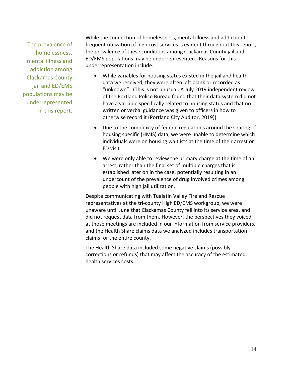The prevalence of homelessness, mental illness and addiction among Clackamas County jail and ED/EMS populations may be underrepresented in this report.

While the connection of homelessness, mental illness and addiction to frequent utilization of high cost services is evident throughout this report, the prevalence of these conditions among Clackamas County jail and ED/EMS populations may be underrepresented. Reasons for this underrepresentation include:

- While variables for housing status existed in the jail and health data we received, they were often left blank or recorded as "unknown". (This is not unusual: A July 2019 independent review of the Portland Police Bureau found that their data system did not have a variable specifically related to housing status and that no written or verbal guidance was given to officers in how to otherwise record it (Portland City Auditor, 2019)).
- Due to the complexity of federal regulations around the sharing of housing specific (HMIS) data, we were unable to determine which individuals were on housing waitlists at the time of their arrest or ED visit.
- We were only able to review the primary charge at the time of an arrest, rather than the final set of multiple charges that is established later on in the case, potentially resulting in an undercount of the prevalence of drug involved crimes among people with high jail utilization.

Despite communicating with Tualatin Valley Fire and Rescue representatives at the tri‐county High ED/EMS workgroup, we were unaware until June that Clackamas County fell into its service area, and did not request data from them. However, the perspectives they voiced at those meetings are included in our information from service providers, and the Health Share claims data we analyzed includes transportation claims for the entire county.

The Health Share data included some negative claims (possibly corrections or refunds) that may affect the accuracy of the estimated health services costs.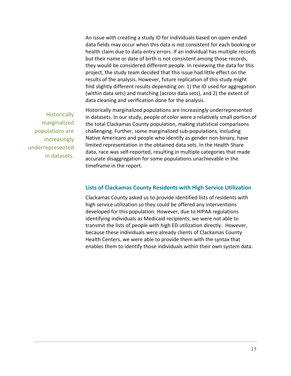An issue with creating a study ID for individuals based on open‐ended data fields may occur when this data is not consistent for each booking or health claim due to data entry errors. If an individual has multiple records but their name or date of birth is not consistent among those records, they would be considered different people. In reviewing the data for this project, the study team decided that this issue had little effect on the results of the analysis. However, future replication of this study might find slightly different results depending on: 1) the ID used for aggregation (within data sets) and matching (across data sets), and 2) the extent of data cleaning and verification done for the analysis.

**Historically** marginalized populations are increasingly underrepresented in datasets. Historically marginalized populations are increasingly underrepresented in datasets. In our study, people of color were a relatively small portion of the total Clackamas County population, making statistical comparisons challenging. Further, some marginalized sub‐populations, including Native Americans and people who identify as gender non‐binary, have limited representation in the obtained data sets. In the Health Share data, race was self‐reported, resulting in multiple categories that made accurate disaggregation for some populations unachievable in the timeframe in the report.

#### **Lists of Clackamas County Residents with High Service Utilization**

Clackamas County asked us to provide identified lists of residents with high service utilization so they could be offered any interventions developed for this population. However, due to HIPAA regulations identifying individuals as Medicaid recipients, we were not able to transmit the lists of people with high ED utilization directly. However, because these individuals were already clients of Clackamas County Health Centers, we were able to provide them with the syntax that enables them to identify those individuals within their own system data.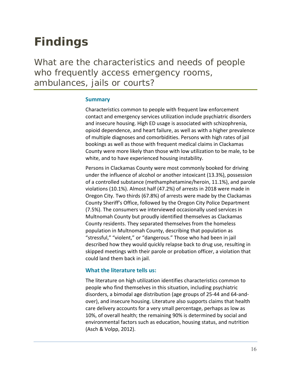## **Findings**

What are the characteristics and needs of people who frequently access emergency rooms, ambulances, jails or courts?

### **Summary**

Characteristics common to people with frequent law enforcement contact and emergency services utilization include psychiatric disorders and insecure housing. High ED usage is associated with schizophrenia, opioid dependence, and heart failure, as well as with a higher prevalence of multiple diagnoses and comorbidities. Persons with high rates of jail bookings as well as those with frequent medical claims in Clackamas County were more likely than those with low utilization to be male, to be white, and to have experienced housing instability.

Persons in Clackamas County were most commonly booked for driving under the influence of alcohol or another intoxicant (13.3%), possession of a controlled substance (methamphetamine/heroin, 11.1%), and parole violations (10.1%). Almost half (47.2%) of arrests in 2018 were made in Oregon City. Two thirds (67.8%) of arrests were made by the Clackamas County Sheriff's Office, followed by the Oregon City Police Department (7.5%). The consumers we interviewed occasionally used services in Multnomah County but proudly identified themselves as Clackamas County residents. They separated themselves from the homeless population in Multnomah County, describing that population as "stressful," "violent," or "dangerous." Those who had been in jail described how they would quickly relapse back to drug use, resulting in skipped meetings with their parole or probation officer, a violation that could land them back in jail.

### **What the literature tells us:**

The literature on high utilization identifies characteristics common to people who find themselves in this situation, including psychiatric disorders, a bimodal age distribution (age groups of 25‐44 and 64‐and‐ over), and insecure housing. Literature also supports claims that health care delivery accounts for a very small percentage, perhaps as low as 10%, of overall health; the remaining 90% is determined by social and environmental factors such as education, housing status, and nutrition (Asch & Volpp, 2012).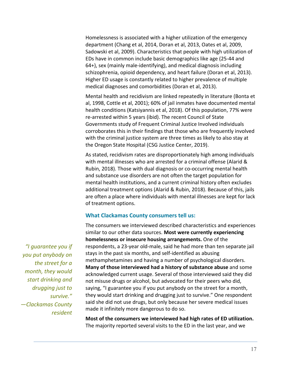Homelessness is associated with a higher utilization of the emergency department (Chang et al, 2014, Doran et al, 2013, Oates et al, 2009, Sadowski et al, 2009). Characteristics that people with high utilization of EDs have in common include basic demographics like age (25‐44 and 64+), sex (mainly male‐identifying), and medical diagnosis including schizophrenia, opioid dependency, and heart failure (Doran et al, 2013). Higher ED usage is constantly related to higher prevalence of multiple medical diagnoses and comorbidities (Doran et al, 2013).

Mental health and recidivism are linked repeatedly in literature (Bonta et al, 1998, Cottle et al, 2001); 60% of jail inmates have documented mental health conditions (Katsiyannis et al, 2018). Of this population, 77% were re‐arrested within 5 years (ibid). The recent Council of State Governments study of Frequent Criminal Justice Involved individuals corroborates this in their findings that those who are frequently involved with the criminal justice system are three times as likely to also stay at the Oregon State Hospital (CSG Justice Center, 2019).

As stated, recidivism rates are disproportionately high among individuals with mental illnesses who are arrested for a criminal offense (Alarid & Rubin, 2018). Those with dual diagnosis or co‐occurring mental health and substance use disorders are not often the target population for mental health institutions, and a current criminal history often excludes additional treatment options (Alarid & Rubin, 2018). Because of this, jails are often a place where individuals with mental illnesses are kept for lack of treatment options.

#### **What Clackamas County consumers tell us:**

The consumers we interviewed described characteristics and experiences similar to our other data sources. **Most were currently experiencing homelessness or insecure housing arrangements.** One of the respondents, a 23‐year old‐male, said he had more than ten separate jail stays in the past six months, and self‐identified as abusing methamphetamines and having a number of psychological disorders. **Many of those interviewed had a history of substance abuse** and some acknowledged current usage. Several of those interviewed said they did not misuse drugs or alcohol, but advocated for their peers who did, saying, "I guarantee you if you put anybody on the street for a month, they would start drinking and drugging just to survive." One respondent said she did not use drugs, but only because her severe medical issues made it infinitely more dangerous to do so.

**Most of the consumers we interviewed had high rates of ED utilization.**  The majority reported several visits to the ED in the last year, and we

*"I guarantee you if you put anybody on the street for a month, they would start drinking and drugging just to survive." —Clackamas County resident*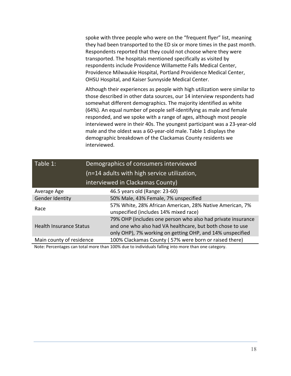spoke with three people who were on the "frequent flyer" list, meaning they had been transported to the ED six or more times in the past month. Respondents reported that they could not choose where they were transported. The hospitals mentioned specifically as visited by respondents include Providence Willamette Falls Medical Center, Providence Milwaukie Hospital, Portland Providence Medical Center, OHSU Hospital, and Kaiser Sunnyside Medical Center.

Although their experiences as people with high utilization were similar to those described in other data sources, our 14 interview respondents had somewhat different demographics. The majority identified as white (64%). An equal number of people self‐identifying as male and female responded, and we spoke with a range of ages, although most people interviewed were in their 40s. The youngest participant was a 23‐year‐old male and the oldest was a 60‐year‐old male. Table 1 displays the demographic breakdown of the Clackamas County residents we interviewed.

| Table 1:                         | Demographics of consumers interviewed<br>(n=14 adults with high service utilization,                                                                                                  |  |  |  |
|----------------------------------|---------------------------------------------------------------------------------------------------------------------------------------------------------------------------------------|--|--|--|
| interviewed in Clackamas County) |                                                                                                                                                                                       |  |  |  |
| Average Age                      | 46.5 years old (Range: 23-60)                                                                                                                                                         |  |  |  |
| Gender Identity                  | 50% Male, 43% Female, 7% unspecified                                                                                                                                                  |  |  |  |
| Race                             | 57% White, 28% African American, 28% Native American, 7%<br>unspecified (includes 14% mixed race)                                                                                     |  |  |  |
| <b>Health Insurance Status</b>   | 79% OHP (includes one person who also had private insurance<br>and one who also had VA healthcare, but both chose to use<br>only OHP), 7% working on getting OHP, and 14% unspecified |  |  |  |
| Main county of residence         | 100% Clackamas County (57% were born or raised there)                                                                                                                                 |  |  |  |

Note: Percentages can total more than 100% due to individuals falling into more than one category.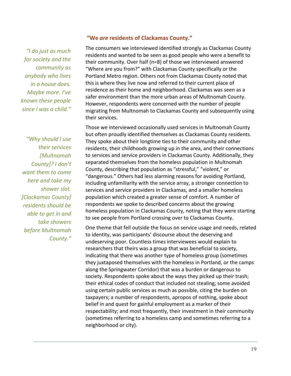*"I do just as much for society and the community as anybody who lives in a house does. Maybe more. I've known these people since I was a child."*

*"Why should I use their services [Multnomah County]? I don't want them to come here and take my shower slot. [Clackamas County] residents should be able to get in and take showers before Multnomah County."* 

### **"We** *are* **residents of Clackamas County."**

The consumers we interviewed identified strongly as Clackamas County residents and wanted to be seen as good people who were a benefit to their community. Over half (n=8) of those we interviewed answered "Where are you from?" with Clackamas County specifically or the Portland Metro region. Others not from Clackamas County noted that this is where they live now and referred to their current place of residence as their home and neighborhood. Clackamas was seen as a safer environment than the more urban areas of Multnomah County. However, respondents were concerned with the number of people migrating from Multnomah to Clackamas County and subsequently using their services.

Those we interviewed occasionally used services in Multnomah County but often proudly identified themselves as Clackamas County residents. They spoke about their longtime ties to their community and other residents, their childhoods growing up in the area, and their connections to services and service providers in Clackamas County. Additionally, they separated themselves from the homeless population in Multnomah County, describing that population as "stressful," "violent," or "dangerous." Others had less alarming reasons for avoiding Portland, including unfamiliarity with the service array, a stronger connection to services and service providers in Clackamas, and a smaller homeless population which created a greater sense of comfort. A number of respondents we spoke to described concerns about the growing homeless population in Clackamas County, noting that they were starting to see people from Portland crossing over to Clackamas County.

One theme that fell outside the focus on service usage and needs, related to identity, was participants' discourse about the deserving and undeserving poor. Countless times interviewees would explain to researchers that theirs was a group that was beneficial to society, indicating that there was another type of homeless group (sometimes they juxtaposed themselves with the homeless in Portland, or the camps along the Springwater Corridor) that was a burden or dangerous to society. Respondents spoke about the ways they picked up their trash; their ethical codes of conduct that included not stealing; some avoided using certain public services as much as possible, citing the burden on taxpayers; a number of respondents, apropos of nothing, spoke about belief in and quest for gainful employment as a marker of their respectability; and most frequently, their investment in their community (sometimes referring to a homeless camp and sometimes referring to a neighborhood or city).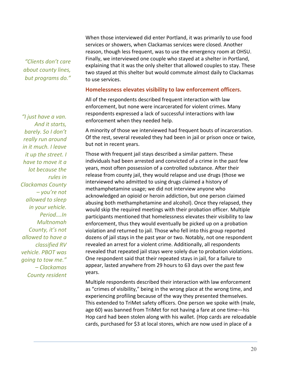*"Clients don't care about county lines, but programs do."*  When those interviewed did enter Portland, it was primarily to use food services or showers, when Clackamas services were closed. Another reason, though less frequent, was to use the emergency room at OHSU. Finally, we interviewed one couple who stayed at a shelter in Portland, explaining that it was the only shelter that allowed couples to stay. These two stayed at this shelter but would commute almost daily to Clackamas to use services.

### **Homelessness elevates visibility to law enforcement officers.**

All of the respondents described frequent interaction with law enforcement, but none were incarcerated for violent crimes. Many respondents expressed a lack of successful interactions with law enforcement when they needed help.

A minority of those we interviewed had frequent bouts of incarceration. Of the rest, several revealed they had been in jail or prison once or twice, but not in recent years.

Those with frequent jail stays described a similar pattern. These individuals had been arrested and convicted of a crime in the past few years, most often possession of a controlled substance. After their release from county jail, they would relapse and use drugs (those we interviewed who admitted to using drugs claimed a history of methamphetamine usage; we did not interview anyone who acknowledged an opioid or heroin addiction, but one person claimed abusing both methamphetamine and alcohol). Once they relapsed, they would skip the required meetings with their probation officer. Multiple participants mentioned that homelessness elevates their visibility to law enforcement, thus they would eventually be picked up on a probation violation and returned to jail. Those who fell into this group reported dozens of jail stays in the past year or two. Notably, not one respondent revealed an arrest for a violent crime. Additionally, all respondents revealed that repeated jail stays were solely due to probation violations. One respondent said that their repeated stays in jail, for a failure to appear, lasted anywhere from 29 hours to 63 days over the past few years.

Multiple respondents described their interaction with law enforcement as "crimes of visibility," being in the wrong place at the wrong time, and experiencing profiling because of the way they presented themselves. This extended to TriMet safety officers. One person we spoke with (male, age 60) was banned from TriMet for not having a fare at one time—his Hop card had been stolen along with his wallet. (Hop cards are reloadable cards, purchased for \$3 at local stores, which are now used in place of a

*"I just have a van. And it starts, barely. So I don't really run around in it much. I leave it up the street. I have to move it a lot because the rules in Clackamas County – you're not allowed to sleep in your vehicle. Period….In Multnomah County, it's not allowed to have a classified RV vehicle. PBOT was going to tow me." – Clackamas County resident*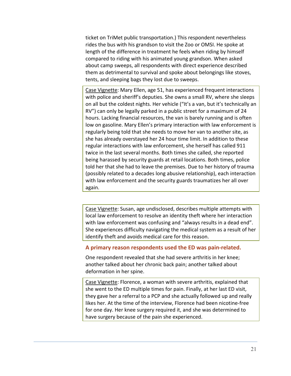ticket on TriMet public transportation.) This respondent nevertheless rides the bus with his grandson to visit the Zoo or OMSI. He spoke at length of the difference in treatment he feels when riding by himself compared to riding with his animated young grandson. When asked about camp sweeps, all respondents with direct experience described them as detrimental to survival and spoke about belongings like stoves, tents, and sleeping bags they lost due to sweeps.

Case Vignette: Mary Ellen, age 51, has experienced frequent interactions with police and sheriff's deputies. She owns a small RV, where she sleeps on all but the coldest nights. Her vehicle ("It's a van, but it's technically an RV") can only be legally parked in a public street for a maximum of 24 hours. Lacking financial resources, the van is barely running and is often low on gasoline. Mary Ellen's primary interaction with law enforcement is regularly being told that she needs to move her van to another site, as she has already overstayed her 24 hour time limit. In addition to these regular interactions with law enforcement, she herself has called 911 twice in the last several months. Both times she called, she reported being harassed by security guards at retail locations. Both times, police told her that she had to leave the premises. Due to her history of trauma (possibly related to a decades long abusive relationship), each interaction with law enforcement and the security guards traumatizes her all over again.

Case Vignette: Susan, age undisclosed, describes multiple attempts with local law enforcement to resolve an identity theft where her interaction with law enforcement was confusing and "always results in a dead end". She experiences difficulty navigating the medical system as a result of her identify theft and avoids medical care for this reason.

### **A primary reason respondents used the ED was pain‐related.**

One respondent revealed that she had severe arthritis in her knee; another talked about her chronic back pain; another talked about deformation in her spine.

Case Vignette: Florence, a woman with severe arthritis, explained that she went to the ED multiple times for pain. Finally, at her last ED visit, they gave her a referral to a PCP and she actually followed up and really likes her. At the time of the interview, Florence had been nicotine‐free for one day. Her knee surgery required it, and she was determined to have surgery because of the pain she experienced.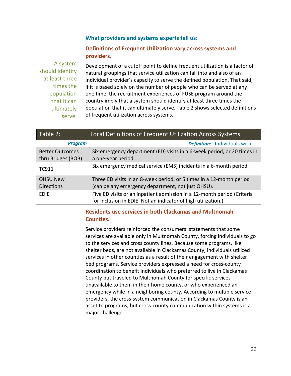### **What providers and systems experts tell us:**

### **Definitions of Frequent Utilization vary across systems and providers.**

A system should identify at least three times the population that it can ultimately serve.

Development of a cutoff point to define frequent utilization is a factor of natural groupings that service utilization can fall into and also of an individual provider's capacity to serve the defined population. That said, if it is based solely on the number of people who can be served at any one time, the recruitment experiences of FUSE program around the country imply that a system should identify at least three times the population that it can ultimately serve. Table 2 shows selected definitions of frequent utilization across systems.

| Table 2:                                     | Local Definitions of Frequent Utilization Across Systems                                                                                 |  |  |
|----------------------------------------------|------------------------------------------------------------------------------------------------------------------------------------------|--|--|
| <b>Program</b>                               | <b>Definition:</b> Individuals with                                                                                                      |  |  |
| <b>Better Outcomes</b><br>thru Bridges (BOB) | Six emergency department (ED) visits in a 6-week period, or 20 times in<br>a one-year period.                                            |  |  |
| TC911                                        | Six emergency medical service (EMS) incidents in a 6-month period.                                                                       |  |  |
| <b>OHSU New</b><br><b>Directions</b>         | Three ED visits in an 8-week period, or 5 times in a 12-month period<br>(can be any emergency department, not just OHSU).                |  |  |
| <b>EDIE</b>                                  | Five ED visits or an inpatient admission in a 12-month period (Criteria<br>for inclusion in EDIE. Not an indicator of high utilization.) |  |  |

### **Residents use services in both Clackamas and Multnomah Counties.**

Service providers reinforced the consumers' statements that some services are available only in Multnomah County, forcing individuals to go to the services and cross county lines. Because some programs, like shelter beds, are not available in Clackamas County, individuals utilized services in other counties as a result of their engagement with shelter bed programs. Service providers expressed a need for cross‐county coordination to benefit individuals who preferred to live in Clackamas County but traveled to Multnomah County for specific services unavailable to them in their home county, or who experienced an emergency while in a neighboring county. According to multiple service providers, the cross‐system communication in Clackamas County is an asset to programs, but cross‐county communication within systems is a major challenge.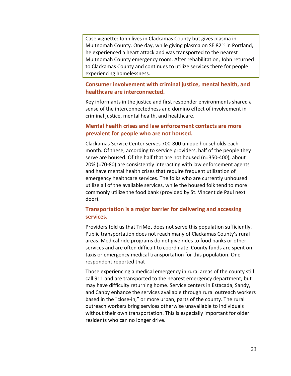Case vignette: John lives in Clackamas County but gives plasma in Multnomah County. One day, while giving plasma on SE 82<sup>nd</sup> in Portland, he experienced a heart attack and was transported to the nearest Multnomah County emergency room. After rehabilitation, John returned to Clackamas County and continues to utilize services there for people experiencing homelessness.

### **Consumer involvement with criminal justice, mental health, and healthcare are interconnected.**

Key informants in the justice and first responder environments shared a sense of the interconnectedness and domino effect of involvement in criminal justice, mental health, and healthcare.

### **Mental health crises and law enforcement contacts are more prevalent for people who are not housed.**

Clackamas Service Center serves 700‐800 unique households each month. Of these, according to service providers, half of the people they serve are housed. Of the half that are not housed (n=350‐400), about 20% (=70‐80) are consistently interacting with law enforcement agents and have mental health crises that require frequent utilization of emergency healthcare services. The folks who are currently unhoused utilize all of the available services, while the housed folk tend to more commonly utilize the food bank (provided by St. Vincent de Paul next door).

### **Transportation is a major barrier for delivering and accessing services.**

Providers told us that TriMet does not serve this population sufficiently. Public transportation does not reach many of Clackamas County's rural areas. Medical ride programs do not give rides to food banks or other services and are often difficult to coordinate. County funds are spent on taxis or emergency medical transportation for this population. One respondent reported that

Those experiencing a medical emergency in rural areas of the county still call 911 and are transported to the nearest emergency department, but may have difficulty returning home. Service centers in Estacada, Sandy, and Canby enhance the services available through rural outreach workers based in the "close‐in," or more urban, parts of the county. The rural outreach workers bring services otherwise unavailable to individuals without their own transportation. This is especially important for older residents who can no longer drive.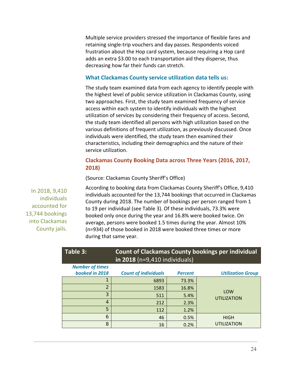Multiple service providers stressed the importance of flexible fares and retaining single‐trip vouchers and day passes. Respondents voiced frustration about the Hop card system, because requiring a Hop card adds an extra \$3.00 to each transportation aid they disperse, thus decreasing how far their funds can stretch.

### **What Clackamas County service utilization data tells us:**

The study team examined data from each agency to identify people with the highest level of public service utilization in Clackamas County, using two approaches. First, the study team examined frequency of service access within each system to identify individuals with the highest utilization of services by considering their frequency of access. Second, the study team identified all persons with high utilization based on the various definitions of frequent utilization, as previously discussed. Once individuals were identified, the study team then examined their characteristics, including their demographics and the nature of their service utilization.

### **Clackamas County Booking Data across Three Years (2016, 2017, 2018)**

(Source: Clackamas County Sheriff's Office)

In 2018, 9,410 individuals accounted for 13,744 bookings into Clackamas County jails*.*

According to booking data from Clackamas County Sheriff's Office, 9,410 individuals accounted for the 13,744 bookings that occurred in Clackamas County during 2018. The number of bookings per person ranged from 1 to 19 per individual (see Table 3). Of these individuals, 73.3% were booked only once during the year and 16.8% were booked twice. On average, persons were booked 1.5 times during the year. Almost 10% (n=934) of those booked in 2018 were booked three times or more during that same year.

| Table 3:                                 | <b>Count of Clackamas County bookings per individual</b><br>in 2018 ( $n=9,410$ individuals) |                |                           |  |
|------------------------------------------|----------------------------------------------------------------------------------------------|----------------|---------------------------|--|
| <b>Number of times</b><br>booked in 2018 | <b>Count of individuals</b>                                                                  | <b>Percent</b> | <b>Utilization Group</b>  |  |
|                                          | 6893                                                                                         | 73.3%          |                           |  |
| $\overline{2}$                           | 1583                                                                                         | 16.8%          |                           |  |
| 3                                        | 511                                                                                          | 5.4%           | LOW<br><b>UTILIZATION</b> |  |
| 4                                        | 212                                                                                          | 2.3%           |                           |  |
| 5                                        | 112                                                                                          | 1.2%           |                           |  |
| 6                                        | 46                                                                                           | 0.5%           | <b>HIGH</b>               |  |
| 8                                        | 16                                                                                           | 0.2%           | <b>UTILIZATION</b>        |  |

24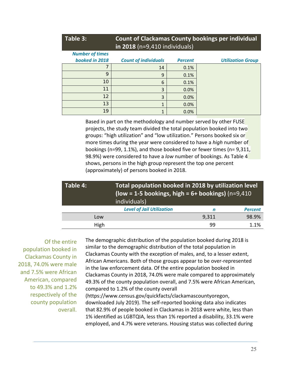| Table 3:                                 | in 2018 ( $n=9,410$ individuals) |                | <b>Count of Clackamas County bookings per individual</b> |
|------------------------------------------|----------------------------------|----------------|----------------------------------------------------------|
| <b>Number of times</b><br>booked in 2018 | <b>Count of individuals</b>      | <b>Percent</b> | <b>Utilization Group</b>                                 |
|                                          | 14                               | 0.1%           |                                                          |
| 9                                        | 9                                | 0.1%           |                                                          |
| 10                                       | 6                                | 0.1%           |                                                          |
| 11                                       | 3                                | 0.0%           |                                                          |
| 12                                       | 3                                | 0.0%           |                                                          |
| 13                                       | 1                                | 0.0%           |                                                          |
| 19                                       | 1                                | 0.0%           |                                                          |

Based in part on the methodology and number served by other FUSE projects, the study team divided the total population booked into two groups: "high utilization" and "low utilization." Persons booked six or more times during the year were considered to have a *high* number of bookings (n=99, 1.1%), and those booked five or fewer times (n= 9,311, 98.9%) were considered to have a *low* number of bookings. As Table 4 shows, persons in the high group represent the top one percent (approximately) of persons booked in 2018.

| Table 4: | individuals)                     | Total population booked in 2018 by utilization level<br>(low = 1-5 bookings, high = $6+$ bookings) (n=9,410 |                |  |
|----------|----------------------------------|-------------------------------------------------------------------------------------------------------------|----------------|--|
|          | <b>Level of Jail Utilization</b> | n                                                                                                           | <b>Percent</b> |  |
| Low      |                                  | 9,311                                                                                                       | 98.9%          |  |
| High     |                                  | 99                                                                                                          | 1.1%           |  |

Of the entire population booked in Clackamas County in 2018, 74.0% were male and 7.5% were African American, compared to 49.3% and 1.2% respectively of the county population overall. The demographic distribution of the population booked during 2018 is similar to the demographic distribution of the total population in Clackamas County with the exception of males, and, to a lesser extent, African Americans. Both of those groups appear to be over‐represented in the law enforcement data. Of the entire population booked in Clackamas County in 2018, 74.0% were male compared to approximately 49.3% of the county population overall, and 7.5% were African American, compared to 1.2% of the county overall (https://www.census.gov/quickfacts/clackamascountyoregon, downloaded July 2019). The self‐reported booking data also indicates that 82.9% of people booked in Clackamas in 2018 were white, less than 1% identified as LGBTQIA, less than 1% reported a disability, 33.1% were employed, and 4.7% were veterans. Housing status was collected during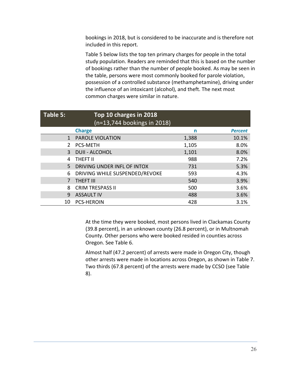bookings in 2018, but is considered to be inaccurate and is therefore not included in this report.

Table 5 below lists the top ten primary charges for people in the total study population. Readers are reminded that this is based on the number of bookings rather than the number of people booked. As may be seen in the table, persons were most commonly booked for parole violation, possession of a controlled substance (methamphetamine), driving under the influence of an intoxicant (alcohol), and theft. The next most common charges were similar in nature.

| Table 5:      | Top 10 charges in 2018<br>$(n=13,744$ bookings in 2018) |       |                |
|---------------|---------------------------------------------------------|-------|----------------|
|               | <b>Charge</b>                                           | n     | <b>Percent</b> |
| 1             | <b>PAROLE VIOLATION</b>                                 | 1,388 | 10.1%          |
| $\mathcal{P}$ | <b>PCS-METH</b>                                         | 1,105 | 8.0%           |
| 3             | <b>DUII - ALCOHOL</b>                                   | 1,101 | 8.0%           |
| 4             | THEFT II                                                | 988   | 7.2%           |
| 5             | DRIVING UNDER INFL OF INTOX                             | 731   | 5.3%           |
| 6             | DRIVING WHILE SUSPENDED/REVOKE                          | 593   | 4.3%           |
|               | <b>THEFT III</b>                                        | 540   | 3.9%           |
| 8             | <b>CRIM TRESPASS II</b>                                 | 500   | 3.6%           |
| 9             | <b>ASSAULT IV</b>                                       | 488   | 3.6%           |
| 10            | <b>PCS-HEROIN</b>                                       | 428   | 3.1%           |

At the time they were booked, most persons lived in Clackamas County (39.8 percent), in an unknown county (26.8 percent), or in Multnomah County. Other persons who were booked resided in counties across Oregon. See Table 6.

Almost half (47.2 percent) of arrests were made in Oregon City, though other arrests were made in locations across Oregon, as shown in Table 7. Two thirds (67.8 percent) of the arrests were made by CCSO (see Table 8).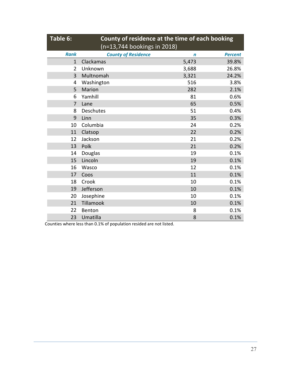| Table 6:     | County of residence at the time of each booking<br>(n=13,744 bookings in 2018) |       |       |  |  |
|--------------|--------------------------------------------------------------------------------|-------|-------|--|--|
| <b>Rank</b>  | <b>County of Residence</b><br><b>Percent</b><br>$\mathbf n$                    |       |       |  |  |
| $\mathbf{1}$ | Clackamas                                                                      | 5,473 | 39.8% |  |  |
| 2            | Unknown                                                                        | 3,688 | 26.8% |  |  |
| 3            | Multnomah                                                                      | 3,321 | 24.2% |  |  |
| 4            | Washington                                                                     | 516   | 3.8%  |  |  |
| 5            | <b>Marion</b>                                                                  | 282   | 2.1%  |  |  |
| 6            | Yamhill                                                                        | 81    | 0.6%  |  |  |
| 7            | Lane                                                                           | 65    | 0.5%  |  |  |
| 8            | <b>Deschutes</b>                                                               | 51    | 0.4%  |  |  |
| 9            | 35<br>0.3%<br>Linn                                                             |       |       |  |  |
| 10           | Columbia<br>24<br>0.2%                                                         |       |       |  |  |
| 11           | 22<br>0.2%<br>Clatsop                                                          |       |       |  |  |
| 12           | Jackson                                                                        | 21    | 0.2%  |  |  |
| 13           | Polk                                                                           | 21    | 0.2%  |  |  |
| 14           | Douglas                                                                        | 19    | 0.1%  |  |  |
| 15           | Lincoln                                                                        | 19    | 0.1%  |  |  |
| 16           | Wasco                                                                          | 12    | 0.1%  |  |  |
| 17           | Coos                                                                           | 11    | 0.1%  |  |  |
| 18           | Crook                                                                          | 10    | 0.1%  |  |  |
| 19           | Jefferson<br>0.1%<br>10                                                        |       |       |  |  |
| 20           | Josephine                                                                      | 10    | 0.1%  |  |  |
| 21           | Tillamook<br>10<br>0.1%                                                        |       |       |  |  |
| 22           | 0.1%<br>Benton<br>8                                                            |       |       |  |  |
| 23           | 0.1%<br>Umatilla<br>8                                                          |       |       |  |  |

Counties where less than 0.1% of population resided are not listed.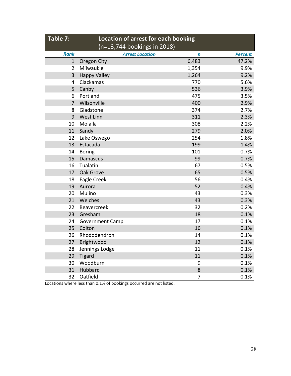| Table 7:<br>Location of arrest for each booking<br>(n=13,744 bookings in 2018) |                        |       |                |
|--------------------------------------------------------------------------------|------------------------|-------|----------------|
| <b>Rank</b>                                                                    | <b>Arrest Location</b> | n     | <b>Percent</b> |
| $\mathbf{1}$                                                                   | Oregon City            | 6,483 | 47.2%          |
| $\overline{2}$                                                                 | Milwaukie              | 1,354 | 9.9%           |
| 3                                                                              | <b>Happy Valley</b>    | 1,264 | 9.2%           |
| 4                                                                              | Clackamas              | 770   | 5.6%           |
| 5                                                                              | Canby                  | 536   | 3.9%           |
| 6                                                                              | Portland               | 475   | 3.5%           |
| $\overline{7}$                                                                 | Wilsonville            | 400   | 2.9%           |
| 8                                                                              | Gladstone              | 374   | 2.7%           |
| 9                                                                              | West Linn              | 311   | 2.3%           |
| 10                                                                             | Molalla                | 308   | 2.2%           |
| 11                                                                             | Sandy                  | 279   | 2.0%           |
| 12                                                                             | Lake Oswego            | 254   | 1.8%           |
| 13                                                                             | Estacada               | 199   | 1.4%           |
| 14                                                                             | <b>Boring</b>          | 101   | 0.7%           |
| 15                                                                             | <b>Damascus</b>        | 99    | 0.7%           |
| 16                                                                             | Tualatin               | 67    | 0.5%           |
| 17                                                                             | Oak Grove              | 65    | 0.5%           |
| 18                                                                             | Eagle Creek            | 56    | 0.4%           |
| 19                                                                             | Aurora                 | 52    | 0.4%           |
| 20                                                                             | Mulino                 | 43    | 0.3%           |
| 21                                                                             | Welches                | 43    | 0.3%           |
| 22                                                                             | Beavercreek            | 32    | 0.2%           |
| 23                                                                             | Gresham                | 18    | 0.1%           |
| 24                                                                             | <b>Government Camp</b> | 17    | 0.1%           |
| 25                                                                             | Colton                 | 16    | 0.1%           |
| 26                                                                             | Rhododendron           | 14    | 0.1%           |
| 27                                                                             | Brightwood             | 12    | 0.1%           |
| 28                                                                             | Jennings Lodge         | 11    | 0.1%           |
| 29                                                                             | <b>Tigard</b>          | 11    | 0.1%           |
| 30                                                                             | Woodburn               | 9     | 0.1%           |
| 31                                                                             | Hubbard                | 8     | 0.1%           |
| 32                                                                             | Oatfield               | 7     | 0.1%           |

Locations where less than 0.1% of bookings occurred are not listed.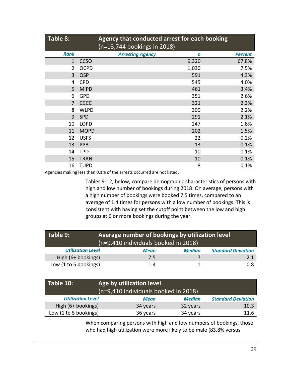| Table 8:     |             | Agency that conducted arrest for each booking<br>(n=13,744 bookings in 2018) |             |                |
|--------------|-------------|------------------------------------------------------------------------------|-------------|----------------|
| <b>Rank</b>  |             | <b>Arresting Agency</b>                                                      | $\mathbf n$ | <b>Percent</b> |
| $\mathbf{1}$ | <b>CCSO</b> |                                                                              | 9,320       | 67.8%          |
| 2            | <b>OCPD</b> |                                                                              | 1,030       | 7.5%           |
| 3            | <b>OSP</b>  |                                                                              | 591         | 4.3%           |
| 4            | <b>CPD</b>  |                                                                              | 545         | 4.0%           |
| 5            | <b>MIPD</b> |                                                                              | 461         | 3.4%           |
| 6            | <b>GPD</b>  |                                                                              | 351         | 2.6%           |
| 7            | CCCC        |                                                                              | 321         | 2.3%           |
| 8            | <b>WLPD</b> |                                                                              | 300         | 2.2%           |
| 9            | <b>SPD</b>  |                                                                              | 291         | 2.1%           |
| 10           | <b>LOPD</b> |                                                                              | 247         | 1.8%           |
| 11           | <b>MOPD</b> |                                                                              | 202         | 1.5%           |
| 12           | <b>USFS</b> |                                                                              | 22          | 0.2%           |
| 13           | <b>PPB</b>  |                                                                              | 13          | 0.1%           |
| 14           | <b>TPD</b>  |                                                                              | 10          | 0.1%           |
| 15           | <b>TRAN</b> |                                                                              | 10          | 0.1%           |
| 16           | <b>TUPD</b> |                                                                              | 8           | 0.1%           |

Agencies making less than 0.1% of the arrests occurred are not listed.

Tables 9‐12, below, compare demographic characteristics of persons with high and low number of bookings during 2018. On average, persons with a high number of bookings were booked 7.5 times, compared to an average of 1.4 times for persons with a low number of bookings. This is consistent with having set the cutoff point between the low and high groups at 6 or more bookings during the year.

| $\blacksquare$ Table 9: $\blacksquare$ | Average number of bookings by utilization level<br>(n=9,410 individuals booked in 2018) |             |               |                           |  |
|----------------------------------------|-----------------------------------------------------------------------------------------|-------------|---------------|---------------------------|--|
| <b>Utilization Level</b>               |                                                                                         | <b>Mean</b> | <b>Median</b> | <b>Standard Deviation</b> |  |
| High (6+ bookings)                     |                                                                                         | 7.5         |               | 2.1                       |  |
| Low (1 to 5 bookings)                  |                                                                                         | 14          |               |                           |  |

| Table 10:                | Age by utilization level<br>$(n=9,410)$ individuals booked in 2018) |               |                           |  |  |
|--------------------------|---------------------------------------------------------------------|---------------|---------------------------|--|--|
| <b>Utilization Level</b> | <b>Mean</b>                                                         | <b>Median</b> | <b>Standard Deviation</b> |  |  |
| High (6+ bookings)       | 34 years                                                            | 32 years      | 10.3                      |  |  |
| Low (1 to 5 bookings)    | 36 years                                                            | 34 years      | 11.6                      |  |  |

When comparing persons with high and low numbers of bookings, those who had high utilization were more likely to be male (83.8% versus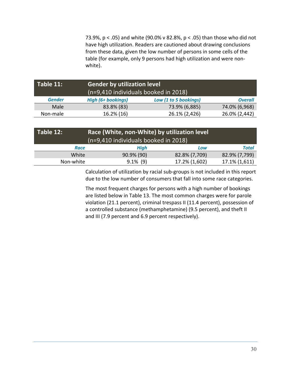73.9%, p < .05) and white (90.0% v 82.8%, p < .05) than those who did not have high utilization. Readers are cautioned about drawing conclusions from these data, given the low number of persons in some cells of the table (for example, only 9 persons had high utilization and were non‐ white).

| Table 11:     |                           | <b>Gender by utilization level</b><br>(n=9,410 individuals booked in 2018) |                |  |  |  |
|---------------|---------------------------|----------------------------------------------------------------------------|----------------|--|--|--|
| <b>Gender</b> | <b>High (6+ bookings)</b> | Low (1 to 5 bookings)                                                      | <b>Overall</b> |  |  |  |
| Male          | 83.8% (83)                | 73.9% (6,885)                                                              | 74.0% (6,968)  |  |  |  |
| Non-male      | 16.2% (16)                | 26.1% (2,426)                                                              | 26.0% (2,442)  |  |  |  |

| Table 12: | Race (White, non-White) by utilization level |               |               |  |  |  |  |
|-----------|----------------------------------------------|---------------|---------------|--|--|--|--|
|           | (n=9,410 individuals booked in 2018)         |               |               |  |  |  |  |
| Race      | <b>High</b><br>Total<br>Low                  |               |               |  |  |  |  |
| White     | 90.9% (90)                                   | 82.8% (7,709) | 82.9% (7,799) |  |  |  |  |
| Non-white | $9.1\%$ (9)                                  | 17.2% (1,602) | 17.1% (1,611) |  |  |  |  |

Calculation of utilization by racial sub‐groups is not included in this report due to the low number of consumers that fall into some race categories.

The most frequent charges for persons with a high number of bookings are listed below in Table 13. The most common charges were for parole violation (21.1 percent), criminal trespass II (11.4 percent), possession of a controlled substance (methamphetamine) (9.5 percent), and theft II and III (7.9 percent and 6.9 percent respectively).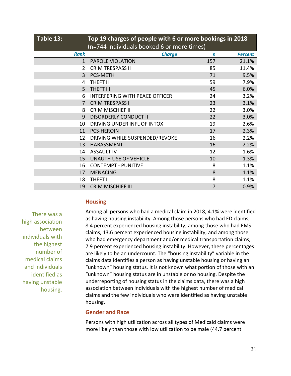| Table 13:    | Top 19 charges of people with 6 or more bookings in 2018<br>(n=744 Individuals booked 6 or more times) |             |                |  |  |  |
|--------------|--------------------------------------------------------------------------------------------------------|-------------|----------------|--|--|--|
| <b>Rank</b>  | <b>Charge</b>                                                                                          | $\mathbf n$ | <b>Percent</b> |  |  |  |
| $\mathbf{1}$ | PAROLE VIOLATION                                                                                       | 157         | 21.1%          |  |  |  |
| 2            | <b>CRIM TRESPASS II</b>                                                                                | 85          | 11.4%          |  |  |  |
| 3            | PCS-METH                                                                                               | 71          | 9.5%           |  |  |  |
| 4            | <b>THEFT II</b>                                                                                        | 59          | 7.9%           |  |  |  |
| 5            | <b>THEFT III</b>                                                                                       | 45          | 6.0%           |  |  |  |
| 6            | <b>INTERFERING WITH PEACE OFFICER</b>                                                                  | 24          | 3.2%           |  |  |  |
| 7            | <b>CRIM TRESPASS I</b>                                                                                 | 23          | 3.1%           |  |  |  |
| 8            | <b>CRIM MISCHIEF II</b>                                                                                | 22          | 3.0%           |  |  |  |
| 9            | <b>DISORDERLY CONDUCT II</b>                                                                           | 22          | 3.0%           |  |  |  |
| 10           | DRIVING UNDER INFL OF INTOX                                                                            | 19          | 2.6%           |  |  |  |
| 11           | <b>PCS-HEROIN</b>                                                                                      | 17          | 2.3%           |  |  |  |
| 12           | DRIVING WHILE SUSPENDED/REVOKE                                                                         | 16          | 2.2%           |  |  |  |
| 13           | <b>HARASSMENT</b>                                                                                      | 16          | 2.2%           |  |  |  |
| 14           | <b>ASSAULT IV</b>                                                                                      | 12          | 1.6%           |  |  |  |
| 15           | <b>UNAUTH USE OF VEHICLE</b>                                                                           | 10          | 1.3%           |  |  |  |
| 16           | <b>CONTEMPT - PUNITIVE</b>                                                                             | 8           | 1.1%           |  |  |  |
| 17           | <b>MENACING</b>                                                                                        | 8           | 1.1%           |  |  |  |
| 18           | <b>THEFT I</b>                                                                                         | 8           | 1.1%           |  |  |  |
| 19           | <b>CRIM MISCHIEF III</b>                                                                               | 7           | 0.9%           |  |  |  |

# **Housing**

There was a high association between individuals with the highest number of medical claims and individuals identified as having unstable housing.

Among all persons who had a medical claim in 2018, 4.1% were identified as having housing instability. Among those persons who had ED claims, 8.4 percent experienced housing instability; among those who had EMS claims, 13.6 percent experienced housing instability; and among those who had emergency department and/or medical transportation claims, 7.9 percent experienced housing instability. However, these percentages are likely to be an undercount. The "housing instability" variable in the claims data identifies a person as having unstable housing or having an "unknown" housing status. It is not known what portion of those with an "unknown" housing status are in unstable or no housing. Despite the underreporting of housing status in the claims data, there was a high association between individuals with the highest number of medical claims and the few individuals who were identified as having unstable housing.

# **Gender and Race**

Persons with high utilization across all types of Medicaid claims were more likely than those with low utilization to be male (44.7 percent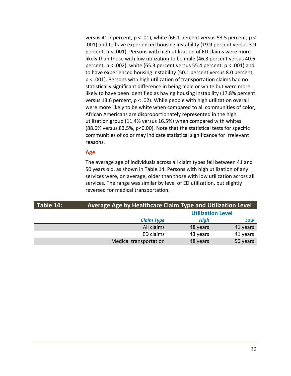versus 41.7 percent, p < .01), white (66.1 percent versus 53.5 percent, p < .001) and to have experienced housing instability (19.9 percent versus 3.9 percent, p < .001). Persons with high utilization of ED claims were more likely than those with low utilization to be male (46.3 percent versus 40.6 percent,  $p < .002$ ), white (65.3 percent versus 55.4 percent,  $p < .001$ ) and to have experienced housing instability (50.1 percent versus 8.0 percent, p < .001). Persons with high utilization of transportation claims had no statistically significant difference in being male or white but were more likely to have been identified as having housing instability (17.8% percent versus 13.6 percent, p < .02). While people with high utilization overall were more likely to be white when compared to all communities of color, African Americans are disproportionately represented in the high utilization group (11.4% versus 16.5%) when compared with whites (88.6% versus 83.5%, p<0.00). Note that the statistical tests for specific communities of color may indicate statistical significance for irrelevant reasons.

### **Age**

The average age of individuals across all claim types fell between 41 and 50 years old, as shown in Table 14. Persons with high utilization of any services were, on average, older than those with low utilization across all services. The range was similar by level of ED utilization, but slightly reversed for medical transportation.

| Table 14: |                               | <b>Average Age by Healthcare Claim Type and Utilization Level</b> |          |  |  |  |  |
|-----------|-------------------------------|-------------------------------------------------------------------|----------|--|--|--|--|
|           |                               | <b>Utilization Level</b>                                          |          |  |  |  |  |
|           | <b>Claim Type</b>             | <b>High</b>                                                       | Low      |  |  |  |  |
|           | All claims                    | 48 years                                                          | 41 years |  |  |  |  |
|           | ED claims                     | 43 years                                                          | 41 years |  |  |  |  |
|           | <b>Medical transportation</b> | 48 years                                                          | 50 years |  |  |  |  |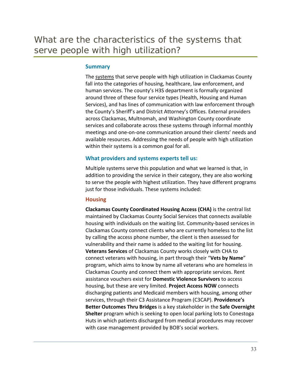### **Summary**

The systems that serve people with high utilization in Clackamas County fall into the categories of housing, healthcare, law enforcement, and human services. The county's H3S department is formally organized around three of these four service types (Health, Housing and Human Services), and has lines of communication with law enforcement through the County's Sheriff's and District Attorney's Offices. External providers across Clackamas, Multnomah, and Washington County coordinate services and collaborate across these systems through informal monthly meetings and one‐on‐one communication around their clients' needs and available resources. Addressing the needs of people with high utilization within their systems is a common goal for all.

# **What providers and systems experts tell us:**

Multiple systems serve this population and what we learned is that, in addition to providing the service in their category, they are also working to serve the people with highest utilization. They have different programs just for those individuals. These systems included:

### **Housing**

**Clackamas County Coordinated Housing Access (CHA)** is the central list maintained by Clackamas County Social Services that connects available housing with individuals on the waiting list. Community‐based services in Clackamas County connect clients who are currently homeless to the list by calling the access phone number, the client is then assessed for vulnerability and their name is added to the waiting list for housing. **Veterans Services** of Clackamas County works closely with CHA to connect veterans with housing, in part through their "**Vets by Name**" program, which aims to know by name all veterans who are homeless in Clackamas County and connect them with appropriate services. Rent assistance vouchers exist for **Domestic Violence Survivors** to access housing, but these are very limited. **Project Access NOW** connects discharging patients and Medicaid members with housing, among other services, through their C3 Assistance Program (C3CAP). **Providence's Better Outcomes Thru Bridges** is a key stakeholder in the **Safe Overnight Shelter** program which is seeking to open local parking lots to Conestoga Huts in which patients discharged from medical procedures may recover with case management provided by BOB's social workers.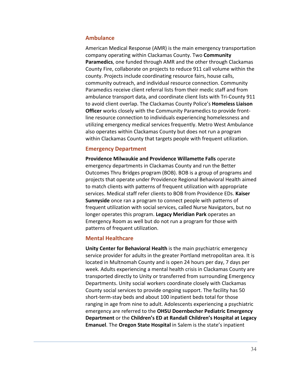### **Ambulance**

American Medical Response (AMR) is the main emergency transportation company operating within Clackamas County. Two **Community Paramedics**, one funded through AMR and the other through Clackamas County Fire, collaborate on projects to reduce 911 call volume within the county. Projects include coordinating resource fairs, house calls, community outreach, and individual resource connection. Community Paramedics receive client referral lists from their medic staff and from ambulance transport data, and coordinate client lists with Tri‐County 911 to avoid client overlap. The Clackamas County Police's **Homeless Liaison Officer** works closely with the Community Paramedics to provide front‐ line resource connection to individuals experiencing homelessness and utilizing emergency medical services frequently. Metro West Ambulance also operates within Clackamas County but does not run a program within Clackamas County that targets people with frequent utilization.

### **Emergency Department**

**Providence Milwaukie and Providence Willamette Falls** operate emergency departments in Clackamas County and run the Better Outcomes Thru Bridges program (BOB). BOB is a group of programs and projects that operate under Providence Regional Behavioral Health aimed to match clients with patterns of frequent utilization with appropriate services. Medical staff refer clients to BOB from Providence EDs. **Kaiser Sunnyside** once ran a program to connect people with patterns of frequent utilization with social services, called Nurse Navigators, but no longer operates this program. **Legacy Meridian Park** operates an Emergency Room as well but do not run a program for those with patterns of frequent utilization.

#### **Mental Healthcare**

**Unity Center for Behavioral Health** is the main psychiatric emergency service provider for adults in the greater Portland metropolitan area. It is located in Multnomah County and is open 24 hours per day, 7 days per week. Adults experiencing a mental health crisis in Clackamas County are transported directly to Unity or transferred from surrounding Emergency Departments. Unity social workers coordinate closely with Clackamas County social services to provide ongoing support. The facility has 50 short-term-stay beds and about 100 inpatient beds total for those ranging in age from nine to adult. Adolescents experiencing a psychiatric emergency are referred to the **OHSU Doernbecher Pediatric Emergency Department** or the **Children's ED at Randall Children's Hospital at Legacy Emanuel**. The **Oregon State Hospital** in Salem is the state's inpatient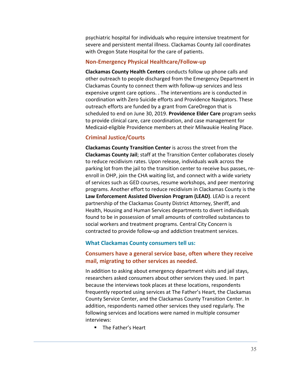psychiatric hospital for individuals who require intensive treatment for severe and persistent mental illness. Clackamas County Jail coordinates with Oregon State Hospital for the care of patients.

#### **Non‐Emergency Physical Healthcare/Follow‐up**

**Clackamas County Health Centers** conducts follow up phone calls and other outreach to people discharged from the Emergency Department in Clackamas County to connect them with follow‐up services and less expensive urgent care options. . The interventions are is conducted in coordination with Zero Suicide efforts and Providence Navigators. These outreach efforts are funded by a grant from CareOregon that is scheduled to end on June 30, 2019. **Providence Elder Care** program seeks to provide clinical care, care coordination, and case management for Medicaid‐eligible Providence members at their Milwaukie Healing Place.

#### **Criminal Justice/Courts**

**Clackamas County Transition Center** is across the street from the **Clackamas County Jail**; staff at the Transition Center collaborates closely to reduce recidivism rates. Upon release, individuals walk across the parking lot from the jail to the transition center to receive bus passes, re‐ enroll in OHP, join the CHA waiting list, and connect with a wide variety of services such as GED courses, resume workshops, and peer mentoring programs. Another effort to reduce recidivism in Clackamas County is the **Law Enforcement Assisted Diversion Program (LEAD)**. LEAD is a recent partnership of the Clackamas County District Attorney, Sheriff, and Health, Housing and Human Services departments to divert individuals found to be in possession of small amounts of controlled substances to social workers and treatment programs. Central City Concern is contracted to provide follow‐up and addiction treatment services.

#### **What Clackamas County consumers tell us:**

### **Consumers have a general service base, often where they receive mail, migrating to other services as needed.**

In addition to asking about emergency department visits and jail stays, researchers asked consumers about other services they used. In part because the interviews took places at these locations, respondents frequently reported using services at The Father's Heart, the Clackamas County Service Center, and the Clackamas County Transition Center. In addition, respondents named other services they used regularly. The following services and locations were named in multiple consumer interviews:

**The Father's Heart**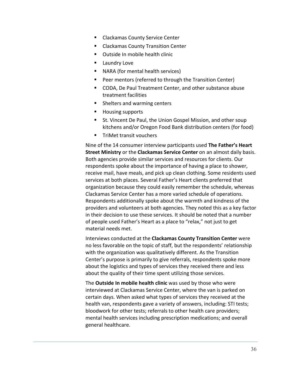- **EXEC** Clackamas County Service Center
- Clackamas County Transition Center
- **•** Outside In mobile health clinic
- **Laundry Love**
- NARA (for mental health services)
- **Peer mentors (referred to through the Transition Center)**
- CODA, De Paul Treatment Center, and other substance abuse treatment facilities
- **Shelters and warming centers**
- **Housing supports**
- **St. Vincent De Paul, the Union Gospel Mission, and other soup** kitchens and/or Oregon Food Bank distribution centers (for food)
- **TriMet transit vouchers**

Nine of the 14 consumer interview participants used **The Father's Heart Street Ministry** or the **Clackamas Service Center** on an almost daily basis. Both agencies provide similar services and resources for clients. Our respondents spoke about the importance of having a place to shower, receive mail, have meals, and pick up clean clothing. Some residents used services at both places. Several Father's Heart clients preferred that organization because they could easily remember the schedule, whereas Clackamas Service Center has a more varied schedule of operations. Respondents additionally spoke about the warmth and kindness of the providers and volunteers at both agencies. They noted this as a key factor in their decision to use these services. It should be noted that a number of people used Father's Heart as a place to "relax," not just to get material needs met.

Interviews conducted at the **Clackamas County Transition Center** were no less favorable on the topic of staff, but the respondents' relationship with the organization was qualitatively different. As the Transition Center's purpose is primarily to give referrals, respondents spoke more about the logistics and types of services they received there and less about the quality of their time spent utilizing those services.

The **Outside In mobile health clinic** was used by those who were interviewed at Clackamas Service Center, where the van is parked on certain days. When asked what types of services they received at the health van, respondents gave a variety of answers, including: STI tests; bloodwork for other tests; referrals to other health care providers; mental health services including prescription medications; and overall general healthcare.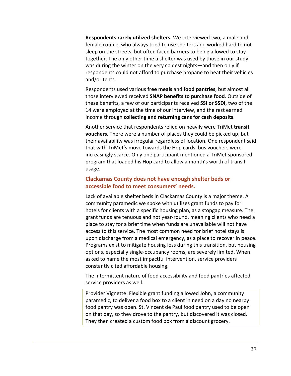**Respondents rarely utilized shelters.** We interviewed two, a male and female couple, who always tried to use shelters and worked hard to not sleep on the streets, but often faced barriers to being allowed to stay together. The only other time a shelter was used by those in our study was during the winter on the very coldest nights—and then only if respondents could not afford to purchase propane to heat their vehicles and/or tents.

Respondents used various **free meals** and **food pantries**, but almost all those interviewed received **SNAP benefits to purchase food**. Outside of these benefits, a few of our participants received **SSI or SSDI**, two of the 14 were employed at the time of our interview, and the rest earned income through **collecting and returning cans for cash deposits**.

Another service that respondents relied on heavily were TriMet **transit vouchers**. There were a number of places they could be picked up, but their availability was irregular regardless of location. One respondent said that with TriMet's move towards the Hop cards, bus vouchers were increasingly scarce. Only one participant mentioned a TriMet sponsored program that loaded his Hop card to allow a month's worth of transit usage.

# **Clackamas County does not have enough shelter beds or accessible food to meet consumers' needs.**

Lack of available shelter beds in Clackamas County is a major theme. A community paramedic we spoke with utilizes grant funds to pay for hotels for clients with a specific housing plan, as a stopgap measure. The grant funds are tenuous and not year‐round, meaning clients who need a place to stay for a brief time when funds are unavailable will not have access to this service. The most common need for brief hotel stays is upon discharge from a medical emergency, as a place to recover in peace. Programs exist to mitigate housing loss during this transition, but housing options, especially single‐occupancy rooms, are severely limited. When asked to name the most impactful intervention, service providers constantly cited affordable housing.

The intermittent nature of food accessibility and food pantries affected service providers as well.

Provider Vignette: Flexible grant funding allowed John, a community paramedic, to deliver a food box to a client in need on a day no nearby food pantry was open. St. Vincent de Paul food pantry used to be open on that day, so they drove to the pantry, but discovered it was closed. They then created a custom food box from a discount grocery.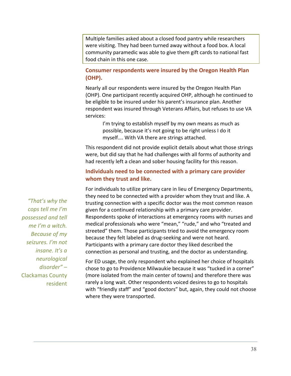Multiple families asked about a closed food pantry while researchers were visiting. They had been turned away without a food box. A local community paramedic was able to give them gift cards to national fast food chain in this one case.

# **Consumer respondents were insured by the Oregon Health Plan (OHP).**

Nearly all our respondents were insured by the Oregon Health Plan (OHP). One participant recently acquired OHP, although he continued to be eligible to be insured under his parent's insurance plan. Another respondent was insured through Veterans Affairs, but refuses to use VA services:

> I'm trying to establish myself by my own means as much as possible, because it's not going to be right unless I do it myself…. With VA there are strings attached.

This respondent did not provide explicit details about what those strings were, but did say that he had challenges with all forms of authority and had recently left a clean and sober housing facility for this reason.

# **Individuals need to be connected with a primary care provider whom they trust and like.**

For individuals to utilize primary care in lieu of Emergency Departments, they need to be connected with a provider whom they trust and like. A trusting connection with a specific doctor was the most common reason given for a continued relationship with a primary care provider. Respondents spoke of interactions at emergency rooms with nurses and medical professionals who were "mean," "rude," and who "treated and streeted" them. Those participants tried to avoid the emergency room because they felt labeled as drug‐seeking and were not heard. Participants with a primary care doctor they liked described the connection as personal and trusting, and the doctor as understanding.

For ED usage, the only respondent who explained her choice of hospitals chose to go to Providence Milwaukie because it was "tucked in a corner" (more isolated from the main center of towns) and therefore there was rarely a long wait. Other respondents voiced desires to go to hospitals with "friendly staff" and "good doctors" but, again, they could not choose where they were transported.

*"That's why the cops tell me I'm possessed and tell me I'm a witch. Because of my seizures. I'm not insane. It's a neurological disorder" –*  Clackamas County resident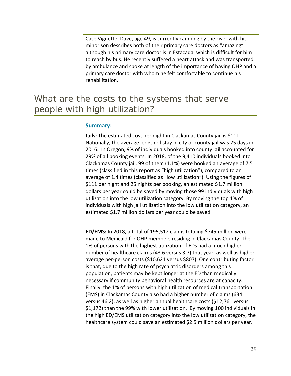Case Vignette: Dave, age 49, is currently camping by the river with his minor son describes both of their primary care doctors as "amazing" although his primary care doctor is in Estacada, which is difficult for him to reach by bus. He recently suffered a heart attack and was transported by ambulance and spoke at length of the importance of having OHP and a primary care doctor with whom he felt comfortable to continue his rehabilitation.

# What are the costs to the systems that serve people with high utilization?

#### **Summary:**

**Jails:** The estimated cost per night in Clackamas County jail is \$111. Nationally, the average length of stay in city or county jail was 25 days in 2016. In Oregon, 9% of individuals booked into county jail accounted for 29% of all booking events. In 2018, of the 9,410 individuals booked into Clackamas County jail, 99 of them (1.1%) were booked an average of 7.5 times (classified in this report as "high utilization"), compared to an average of 1.4 times (classified as "low utilization"). Using the figures of \$111 per night and 25 nights per booking, an estimated \$1.7 million dollars per year could be saved by moving those 99 individuals with high utilization into the low utilization category. By moving the top 1% of individuals with high jail utilization into the low utilization category, an estimated \$1.7 million dollars per year could be saved.

**ED/EMS:** In 2018, a total of 195,512 claims totaling \$745 million were made to Medicaid for OHP members residing in Clackamas County. The 1% of persons with the highest utilization of EDs had a much higher number of healthcare claims (43.6 versus 3.7) that year, as well as higher average per‐person costs (\$10,621 versus \$807). One contributing factor is that, due to the high rate of psychiatric disorders among this population, patients may be kept longer at the ED than medically necessary if community behavioral health resources are at capacity. Finally, the 1% of persons with high utilization of medical transportation (EMS) in Clackamas County also had a higher number of claims (634 versus 46.2), as well as higher annual healthcare costs (\$12,761 versus \$1,172) than the 99% with lower utilization. By moving 100 individuals in the high ED/EMS utilization category into the low utilization category, the healthcare system could save an estimated \$2.5 million dollars per year.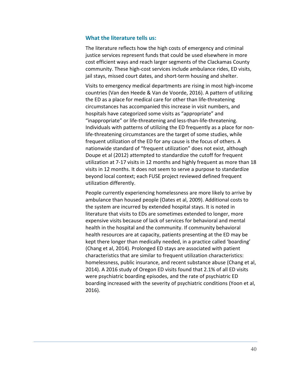#### **What the literature tells us:**

The literature reflects how the high costs of emergency and criminal justice services represent funds that could be used elsewhere in more cost efficient ways and reach larger segments of the Clackamas County community. These high‐cost services include ambulance rides, ED visits, jail stays, missed court dates, and short-term housing and shelter.

Visits to emergency medical departments are rising in most high‐income countries (Van den Heede & Van de Voorde, 2016). A pattern of utilizing the ED as a place for medical care for other than life-threatening circumstances has accompanied this increase in visit numbers, and hospitals have categorized some visits as "appropriate" and "inappropriate" or life‐threatening and less‐than‐life‐threatening. Individuals with patterns of utilizing the ED frequently as a place for non‐ life-threatening circumstances are the target of some studies, while frequent utilization of the ED for any cause is the focus of others. A nationwide standard of "frequent utilization" does not exist, although Doupe et al (2012) attempted to standardize the cutoff for frequent utilization at 7‐17 visits in 12 months and highly frequent as more than 18 visits in 12 months. It does not seem to serve a purpose to standardize beyond local context; each FUSE project reviewed defined frequent utilization differently.

People currently experiencing homelessness are more likely to arrive by ambulance than housed people (Oates et al, 2009). Additional costs to the system are incurred by extended hospital stays. It is noted in literature that visits to EDs are sometimes extended to longer, more expensive visits because of lack of services for behavioral and mental health in the hospital and the community. If community behavioral health resources are at capacity, patients presenting at the ED may be kept there longer than medically needed, in a practice called 'boarding' (Chang et al, 2014). Prolonged ED stays are associated with patient characteristics that are similar to frequent utilization characteristics: homelessness, public insurance, and recent substance abuse (Chang et al, 2014). A 2016 study of Oregon ED visits found that 2.1% of all ED visits were psychiatric boarding episodes, and the rate of psychiatric ED boarding increased with the severity of psychiatric conditions (Yoon et al, 2016).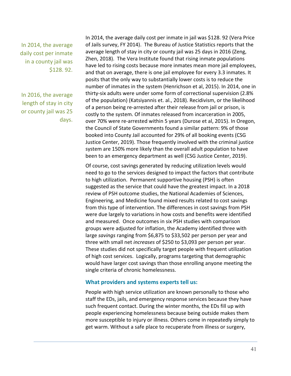In 2014, the average daily cost per inmate in a county jail was \$128. 92.

In 2016, the average length of stay in city or county jail was 25 days.

In 2014, the average daily cost per inmate in jail was \$128. 92 (Vera Price of Jails survey, FY 2014). The Bureau of Justice Statistics reports that the average length of stay in city or county jail was 25 days in 2016 (Zeng, Zhen, 2018). The Vera Institute found that rising inmate populations have led to rising costs because more inmates mean more jail employees, and that on average, there is one jail employee for every 3.3 inmates. It posits that the only way to substantially lower costs is to reduce the number of inmates in the system (Henrichson et al, 2015). In 2014, one in thirty‐six adults were under some form of correctional supervision (2.8% of the population) (Katsiyannis et. al., 2018). Recidivism, or the likelihood of a person being re‐arrested after their release from jail or prison, is costly to the system. Of inmates released from incarceration in 2005, over 70% were re‐arrested within 5 years (Durose et al, 2015). In Oregon, the Council of State Governments found a similar pattern: 9% of those booked into County Jail accounted for 29% of all booking events (CSG Justice Center, 2019). Those frequently involved with the criminal justice system are 150% more likely than the overall adult population to have been to an emergency department as well (CSG Justice Center, 2019).

Of course, cost savings generated by reducing utilization levels would need to go to the services designed to impact the factors that contribute to high utilization. Permanent supportive housing (PSH) is often suggested as the service that could have the greatest impact. In a 2018 review of PSH outcome studies, the National Academies of Sciences, Engineering, and Medicine found mixed results related to cost savings from this type of intervention. The differences in cost savings from PSH were due largely to variations in how costs and benefits were identified and measured. Once outcomes in six PSH studies with comparison groups were adjusted for inflation, the Academy identified three with large *savings* ranging from \$6,875 to \$33,502 per person per year and three with small net *increases* of \$250 to \$3,093 per person per year. These studies did not specifically target people with frequent utilization of high cost services. Logically, programs targeting that demographic would have larger cost savings than those enrolling anyone meeting the single criteria of chronic homelessness.

#### **What providers and systems experts tell us:**

People with high service utilization are known personally to those who staff the EDs, jails, and emergency response services because they have such frequent contact. During the winter months, the EDs fill up with people experiencing homelessness because being outside makes them more susceptible to injury or illness. Others come in repeatedly simply to get warm. Without a safe place to recuperate from illness or surgery,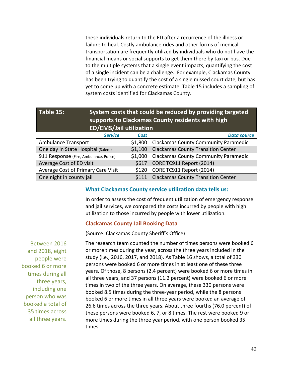these individuals return to the ED after a recurrence of the illness or failure to heal. Costly ambulance rides and other forms of medical transportation are frequently utilized by individuals who do not have the financial means or social supports to get them there by taxi or bus. Due to the multiple systems that a single event impacts, quantifying the cost of a single incident can be a challenge. For example, Clackamas County has been trying to quantify the cost of a single missed court date, but has yet to come up with a concrete estimate. Table 15 includes a sampling of system costs identified for Clackamas County.

| Table 15: | <b>ED/EMS/Jail utilization</b> |      | System costs that could be reduced by providing targeted<br>supports to Clackamas County residents with high |
|-----------|--------------------------------|------|--------------------------------------------------------------------------------------------------------------|
|           | <b>Service</b>                 | Cost | <b>Data source</b>                                                                                           |

| Service                                | <b>LOST</b> | Data source                                 |
|----------------------------------------|-------------|---------------------------------------------|
| <b>Ambulance Transport</b>             | \$1,800     | <b>Clackamas County Community Paramedic</b> |
| One day in State Hospital (Salem)      | \$1,100     | <b>Clackamas County Transition Center</b>   |
| 911 Response (Fire, Ambulance, Police) | \$1,000     | <b>Clackamas County Community Paramedic</b> |
| Average Cost of ED visit               |             | \$617 CORE TC911 Report (2014)              |
| Average Cost of Primary Care Visit     | \$120       | CORE TC911 Report (2014)                    |
| One night in county jail               | S111        | <b>Clackamas County Transition Center</b>   |

### **What Clackamas County service utilization data tells us:**

In order to assess the cost of frequent utilization of emergency response and jail services, we compared the costs incurred by people with high utilization to those incurred by people with lower utilization.

# **Clackamas County Jail Booking Data**

(Source: Clackamas County Sheriff's Office)

Between 2016 and 2018, eight people were booked 6 or more times during all three years, including one person who was booked a total of 35 times across all three years.

The research team counted the number of times persons were booked 6 or more times during the year, across the three years included in the study (i.e., 2016, 2017, and 2018). As Table 16 shows, a total of 330 persons were booked 6 or more times in at least one of these three years. Of those, 8 persons (2.4 percent) were booked 6 or more times in all three years, and 37 persons (11.2 percent) were booked 6 or more times in two of the three years. On average, these 330 persons were booked 8.5 times during the three‐year period, while the 8 persons booked 6 or more times in all three years were booked an average of 26.6 times across the three years. About three fourths (76.0 percent) of these persons were booked 6, 7, or 8 times. The rest were booked 9 or more times during the three year period, with one person booked 35 times.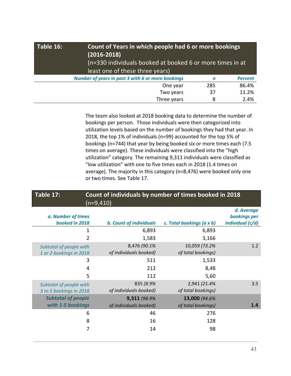| Table 16: | $(2016 - 2018)$<br>least one of these three years) | Count of Years in which people had 6 or more bookings<br>(n=330 individuals booked at booked 6 or more times in at |                |  |  |  |
|-----------|----------------------------------------------------|--------------------------------------------------------------------------------------------------------------------|----------------|--|--|--|
|           | Number of years in past 3 with 6 or more bookings  | n                                                                                                                  | <b>Percent</b> |  |  |  |
|           | 86.4%<br>285<br>One year                           |                                                                                                                    |                |  |  |  |
|           | Two years<br>11.2%<br>37                           |                                                                                                                    |                |  |  |  |
|           | Three years                                        | 8                                                                                                                  | 2.4%           |  |  |  |

The team also looked at 2018 booking data to determine the number of bookings per person. Those individuals were then categorized into utilization levels based on the number of bookings they had that year. In 2018, the top 1% of individuals (n=99) accounted for the top 5% of bookings (n=744) that year by being booked six or more times each (7.5 times on average). These individuals were classified into the "high utilization" category. The remaining 9,311 individuals were classified as "low utilization" with one to five times each in 2018 (1.4 times on average). The majority in this category (n=8,476) were booked only one or two times. See Table 17.

# **Table 17: Count of individuals by number of times booked in 2018**  $(n=9,410)$

|                           |                                |                           | d. Average       |
|---------------------------|--------------------------------|---------------------------|------------------|
| a. Number of times        |                                |                           | bookings per     |
| booked in 2018            | <b>b. Count of individuals</b> | c. Total bookings (a x b) | individual (c/d) |
| 1                         | 6,893                          | 6,893                     |                  |
| 2                         | 1,583                          | 3,166                     |                  |
| Subtotal of people with   | 8,476 (90.1%)                  | 10,059 (73.2%)            | 1.2              |
| 1 or 2 bookings in 2018   | of individuals booked)         | of total bookings)        |                  |
| 3                         | 511                            | 1,533                     |                  |
| 4                         | 212                            | 8,48                      |                  |
| 5                         | 112                            | 5,60                      |                  |
| Subtotal of people with   | 835 (8.9%)                     | 2,941 (21.4%)             | 3.5              |
| 3 to 5 bookings in 2018   | of individuals booked)         | of total bookings)        |                  |
| <b>Subtotal of people</b> | 9,311 (98.9%)                  | 13,000 (94.6%)            |                  |
| with 1-5 bookings         | of individuals booked)         | of total bookings)        | 1.4              |
| 6                         | 46                             | 276                       |                  |
| 8                         | 16                             | 128                       |                  |
| 7                         | 14                             | 98                        |                  |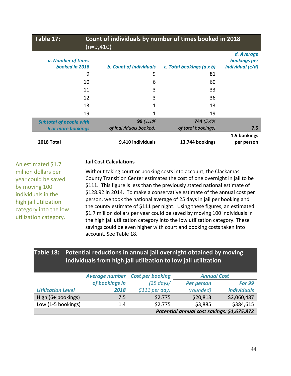| Table 17:                            | Count of individuals by number of times booked in 2018<br>$(n=9, 410)$ |                           |                                                |  |  |  |
|--------------------------------------|------------------------------------------------------------------------|---------------------------|------------------------------------------------|--|--|--|
| a. Number of times<br>booked in 2018 | <b>b. Count of individuals</b>                                         | c. Total bookings (a x b) | d. Average<br>bookings per<br>individual (c/d) |  |  |  |
| 9                                    | 9                                                                      | 81                        |                                                |  |  |  |
| 10                                   | 6                                                                      | 60                        |                                                |  |  |  |
| 11                                   | 3                                                                      | 33                        |                                                |  |  |  |
| 12                                   | 3                                                                      | 36                        |                                                |  |  |  |
| 13                                   | 1                                                                      | 13                        |                                                |  |  |  |
| 19                                   | 1                                                                      | 19                        |                                                |  |  |  |
| <b>Subtotal of people with</b>       | 99 (1.1%)                                                              | 744 (5.4%)                |                                                |  |  |  |
| <b>6 or more bookings</b>            | of individuals booked)                                                 | of total bookings)        | 7.5                                            |  |  |  |
| 2018 Total                           | 9,410 individuals                                                      | 13,744 bookings           | 1.5 bookings<br>per person                     |  |  |  |

An estimated \$1.7 million dollars per year could be saved by moving 100 individuals in the high jail utilization category into the low utilization category.

# **Jail Cost Calculations**

Without taking court or booking costs into account, the Clackamas County Transition Center estimates the cost of one overnight in jail to be \$111. This figure is less than the previously stated national estimate of \$128.92 in 2014. To make a conservative estimate of the annual cost per person, we took the national average of 25 days in jail per booking and the county estimate of \$111 per night. Using these figures, an estimated \$1.7 million dollars per year could be saved by moving 100 individuals in the high jail utilization category into the low utilization category. These savings could be even higher with court and booking costs taken into account. See Table 18.

# **Table 18: Potential reductions in annual jail overnight obtained by moving individuals from high jail utilization to low jail utilization**

|                          | <b>Average number</b> | <b>Cost per booking</b>                    |                   | <b>Annual Cost</b>        |  |
|--------------------------|-----------------------|--------------------------------------------|-------------------|---------------------------|--|
|                          | of bookings in        | $(25 \text{ days})$                        | <b>Per person</b> | <b>For 99</b>             |  |
| <b>Utilization Level</b> | 2018                  | $$111$ per day)                            | (rounded)         | <i><b>individuals</b></i> |  |
| High (6+ bookings)       | 7.5                   | \$2,775                                    | \$20,813          | \$2,060,487               |  |
| Low (1-5 bookings)       | 1.4                   | \$2,775                                    | \$3,885           | \$384,615                 |  |
|                          |                       | Potential annual cost savings: \$1,675,872 |                   |                           |  |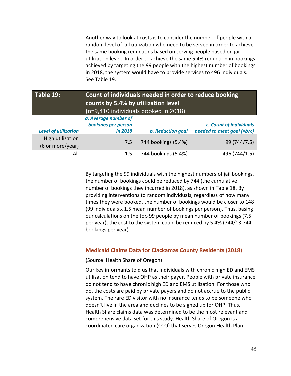Another way to look at costs is to consider the number of people with a random level of jail utilization who need to be served in order to achieve the same booking reductions based on serving people based on jail utilization level. In order to achieve the same 5.4% reduction in bookings achieved by targeting the 99 people with the highest number of bookings in 2018, the system would have to provide services to 496 individuals. See Table 19.

| Table 19:                            | Count of individuals needed in order to reduce booking<br>counts by 5.4% by utilization level<br>(n=9,410 individuals booked in 2018) |                          |                              |  |  |
|--------------------------------------|---------------------------------------------------------------------------------------------------------------------------------------|--------------------------|------------------------------|--|--|
|                                      | a. Average number of                                                                                                                  |                          |                              |  |  |
|                                      | bookings per person                                                                                                                   |                          | c. Count of individuals      |  |  |
| <b>Level of utilization</b>          | in 2018                                                                                                                               | <b>b.</b> Reduction goal | needed to meet goal $(=b/c)$ |  |  |
| High utilization<br>(6 or more/year) | 7.5                                                                                                                                   | 744 bookings (5.4%)      | 99 (744/7.5)                 |  |  |
| All                                  | 1.5                                                                                                                                   | 744 bookings (5.4%)      | 496 (744/1.5)                |  |  |

By targeting the 99 individuals with the highest numbers of jail bookings, the number of bookings could be reduced by 744 (the cumulative number of bookings they incurred in 2018), as shown in Table 18. By providing interventions to random individuals, regardless of how many times they were booked, the number of bookings would be closer to 148 (99 individuals x 1.5 mean number of bookings per person). Thus, basing our calculations on the top 99 people by mean number of bookings (7.5 per year), the cost to the system could be reduced by 5.4% (744/13,744 bookings per year).

### **Medicaid Claims Data for Clackamas County Residents (2018)**

(Source: Health Share of Oregon)

Our key informants told us that individuals with chronic high ED and EMS utilization tend to have OHP as their payer. People with private insurance do not tend to have chronic high ED and EMS utilization. For those who do, the costs are paid by private payers and do not accrue to the public system. The rare ED visitor with no insurance tends to be someone who doesn't live in the area and declines to be signed up for OHP. Thus, Health Share claims data was determined to be the most relevant and comprehensive data set for this study. Health Share of Oregon is a coordinated care organization (CCO) that serves Oregon Health Plan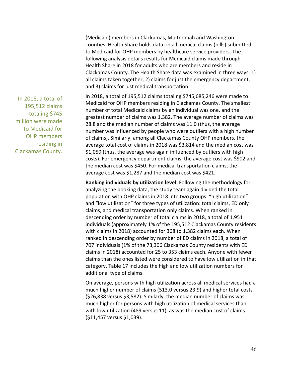(Medicaid) members in Clackamas, Multnomah and Washington counties. Health Share holds data on all medical claims (bills) submitted to Medicaid for OHP members by healthcare service providers. The following analysis details results for Medicaid claims made through Health Share in 2018 for adults who are members and reside in Clackamas County. The Health Share data was examined in three ways: 1) all claims taken together, 2) claims for just the emergency department, and 3) claims for just medical transportation.

In 2018, a total of 195,512 claims totaling \$745,685,246 were made to Medicaid for OHP members residing in Clackamas County. The smallest number of total Medicaid claims by an individual was one, and the greatest number of claims was 1,382. The average number of claims was 28.8 and the median number of claims was 11.0 (thus, the average number was influenced by people who were outliers with a high number of claims). Similarly, among all Clackamas County OHP members, the average total cost of claims in 2018 was \$3,814 and the median cost was \$1,059 (thus, the average was again influenced by outliers with high costs). For emergency department claims, the average cost was \$902 and the median cost was \$450. For medical transportation claims, the average cost was \$1,287 and the median cost was \$421.

**Ranking individuals by utilization level:** Following the methodology for analyzing the booking data, the study team again divided the total population with OHP claims in 2018 into two groups: "high utilization" and "low utilization" for three types of utilization: total claims, ED only claims, and medical transportation only claims. When ranked in descending order by number of total claims in 2018, a total of 1,951 individuals (approximately 1% of the 195,512 Clackamas County residents with claims in 2018) accounted for 368 to 1,382 claims each. When ranked in descending order by number of **ED** claims in 2018, a total of 707 individuals (1% of the 73,306 Clackamas County residents with ED claims in 2018) accounted for 25 to 353 claims each. Anyone with fewer claims than the ones listed were considered to have low utilization in that category. Table 17 includes the high and low utilization numbers for additional type of claims.

On average, persons with high utilization across all medical services had a much higher number of claims (513.0 versus 23.9) and higher total costs (\$26,838 versus \$3,582). Similarly, the median number of claims was much higher for persons with high utilization of medical services than with low utilization (489 versus 11), as was the median cost of claims (\$11,457 versus \$1,039).

In 2018, a total of 195,512 claims totaling \$745 million were made to Medicaid for OHP members residing in Clackamas County.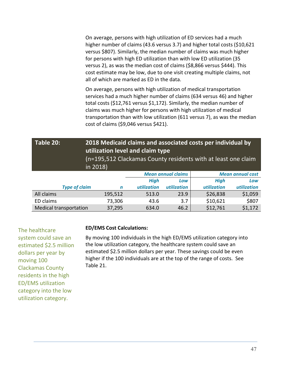On average, persons with high utilization of ED services had a much higher number of claims (43.6 versus 3.7) and higher total costs (\$10,621 versus \$807). Similarly, the median number of claims was much higher for persons with high ED utilization than with low ED utilization (35 versus 2), as was the median cost of claims (\$8,866 versus \$444). This cost estimate may be low, due to one visit creating multiple claims, not all of which are marked as ED in the data.

On average, persons with high utilization of medical transportation services had a much higher number of claims (634 versus 46) and higher total costs (\$12,761 versus \$1,172). Similarly, the median number of claims was much higher for persons with high utilization of medical transportation than with low utilization (611 versus 7), as was the median cost of claims (\$9,046 versus \$421).

| Table 20:                     | 2018 Medicaid claims and associated costs per individual by<br>utilization level and claim type<br>(n=195,512 Clackamas County residents with at least one claim<br>in 2018) |             |             |             |                         |  |  |
|-------------------------------|------------------------------------------------------------------------------------------------------------------------------------------------------------------------------|-------------|-------------|-------------|-------------------------|--|--|
|                               | <b>Mean annual claims</b>                                                                                                                                                    |             |             |             | <b>Mean annual cost</b> |  |  |
|                               |                                                                                                                                                                              | High        | Low         | <b>High</b> | Low                     |  |  |
| <b>Type of claim</b>          | n                                                                                                                                                                            | utilization | utilization | utilization | utilization             |  |  |
| All claims                    | 195,512                                                                                                                                                                      | 513.0       | 23.9        | \$26,838    | \$1,059                 |  |  |
| ED claims                     | 73,306                                                                                                                                                                       | 43.6        | 3.7         | \$10,621    | \$807                   |  |  |
| <b>Medical transportation</b> | \$12,761<br>\$1,172<br>37,295<br>46.2<br>634.0                                                                                                                               |             |             |             |                         |  |  |

The healthcare system could save an estimated \$2.5 million dollars per year by moving 100 Clackamas County residents in the high ED/EMS utilization category into the low utilization category.

### **ED/EMS Cost Calculations:**

By moving 100 individuals in the high ED/EMS utilization category into the low utilization category, the healthcare system could save an estimated \$2.5 million dollars per year. These savings could be even higher if the 100 individuals are at the top of the range of costs. See Table 21.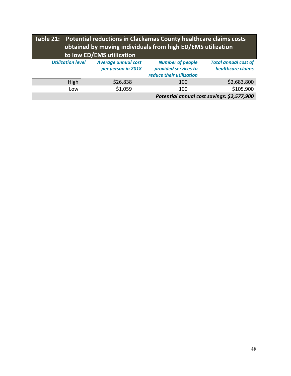| Table 21: Potential reductions in Clackamas County healthcare claims costs<br>obtained by moving individuals from high ED/EMS utilization<br>to low ED/EMS utilization |                                                  |                                                                             |                                                  |  |  |  |
|------------------------------------------------------------------------------------------------------------------------------------------------------------------------|--------------------------------------------------|-----------------------------------------------------------------------------|--------------------------------------------------|--|--|--|
| <b>Utilization level</b>                                                                                                                                               | <b>Average annual cost</b><br>per person in 2018 | <b>Number of people</b><br>provided services to<br>reduce their utilization | <b>Total annual cost of</b><br>healthcare claims |  |  |  |
| High                                                                                                                                                                   | \$26,838                                         | 100                                                                         | \$2,683,800                                      |  |  |  |
| Low                                                                                                                                                                    | \$1,059                                          | 100                                                                         | \$105,900                                        |  |  |  |
|                                                                                                                                                                        |                                                  | Potential annual cost savings: \$2,577,900                                  |                                                  |  |  |  |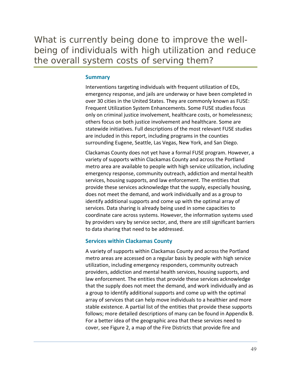What is currently being done to improve the wellbeing of individuals with high utilization and reduce the overall system costs of serving them?

### **Summary**

Interventions targeting individuals with frequent utilization of EDs, emergency response, and jails are underway or have been completed in over 30 cities in the United States. They are commonly known as FUSE: Frequent Utilization System Enhancements. Some FUSE studies focus only on criminal justice involvement, healthcare costs, or homelessness; others focus on both justice involvement and healthcare. Some are statewide initiatives. Full descriptions of the most relevant FUSE studies are included in this report, including programs in the counties surrounding Eugene, Seattle, Las Vegas, New York, and San Diego.

Clackamas County does not yet have a formal FUSE program. However, a variety of supports within Clackamas County and across the Portland metro area are available to people with high service utilization, including emergency response, community outreach, addiction and mental health services, housing supports, and law enforcement. The entities that provide these services acknowledge that the supply, especially housing, does not meet the demand, and work individually and as a group to identify additional supports and come up with the optimal array of services. Data sharing is already being used in some capacities to coordinate care across systems. However, the information systems used by providers vary by service sector, and, there are still significant barriers to data sharing that need to be addressed.

### **Services within Clackamas County**

A variety of supports within Clackamas County and across the Portland metro areas are accessed on a regular basis by people with high service utilization, including emergency responders, community outreach providers, addiction and mental health services, housing supports, and law enforcement. The entities that provide these services acknowledge that the supply does not meet the demand, and work individually and as a group to identify additional supports and come up with the optimal array of services that can help move individuals to a healthier and more stable existence. A partial list of the entities that provide these supports follows; more detailed descriptions of many can be found in Appendix B. For a better idea of the geographic area that these services need to cover, see Figure 2, a map of the Fire Districts that provide fire and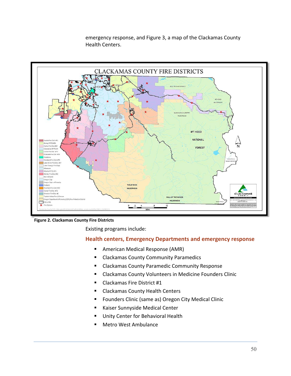

emergency response, and Figure 3, a map of the Clackamas County Health Centers.

**Figure 2. Clackamas County Fire Districts**

Existing programs include:

# **Health centers, Emergency Departments and emergency response**

- **American Medical Response (AMR)**
- **E** Clackamas County Community Paramedics
- **E** Clackamas County Paramedic Community Response
- Clackamas County Volunteers in Medicine Founders Clinic
- Clackamas Fire District #1
- **EXEC** Clackamas County Health Centers
- Founders Clinic (same as) Oregon City Medical Clinic
- Kaiser Sunnyside Medical Center
- Unity Center for Behavioral Health
- Metro West Ambulance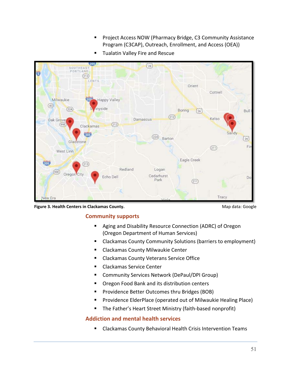**Project Access NOW (Pharmacy Bridge, C3 Community Assistance** Program (C3CAP), Outreach, Enrollment, and Access (OEA))



**Tualatin Valley Fire and Rescue** 

**Figure 3. Health Centers in Clackamas County. All and School County and School County County.** Map data: Google

# **Community supports**

- Aging and Disability Resource Connection (ADRC) of Oregon (Oregon Department of Human Services)
- Clackamas County Community Solutions (barriers to employment)
- **E** Clackamas County Milwaukie Center
- **EXPLES** Clackamas County Veterans Service Office
- **EXEC** Clackamas Service Center
- Community Services Network (DePaul/DPI Group)
- **Oregon Food Bank and its distribution centers**
- Providence Better Outcomes thru Bridges (BOB)
- **Providence ElderPlace (operated out of Milwaukie Healing Place)**
- The Father's Heart Street Ministry (faith-based nonprofit)

# **Addiction and mental health services**

Clackamas County Behavioral Health Crisis Intervention Teams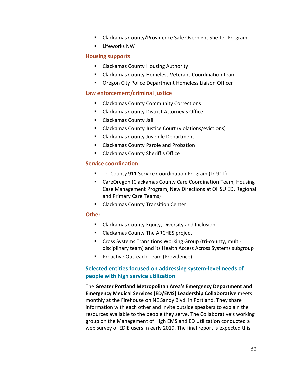- Clackamas County/Providence Safe Overnight Shelter Program
- **E** Lifeworks NW

# **Housing supports**

- Clackamas County Housing Authority
- Clackamas County Homeless Veterans Coordination team
- Oregon City Police Department Homeless Liaison Officer

# **Law enforcement/criminal justice**

- **E** Clackamas County Community Corrections
- Clackamas County District Attorney's Office
- Clackamas County Jail
- Clackamas County Justice Court (violations/evictions)
- **E** Clackamas County Juvenile Department
- **E** Clackamas County Parole and Probation
- Clackamas County Sheriff's Office

# **Service coordination**

- Tri-County 911 Service Coordination Program (TC911)
- CareOregon (Clackamas County Care Coordination Team, Housing Case Management Program, New Directions at OHSU ED, Regional and Primary Care Teams)
- **E** Clackamas County Transition Center

### **Other**

- **E** Clackamas County Equity, Diversity and Inclusion
- Clackamas County The ARCHES project
- Cross Systems Transitions Working Group (tri-county, multidisciplinary team) and its Health Access Across Systems subgroup
- **Proactive Outreach Team (Providence)**

# **Selected entities focused on addressing system‐level needs of people with high service utilization**

The **Greater Portland Metropolitan Area's Emergency Department and Emergency Medical Services (ED/EMS) Leadership Collaborative** meets monthly at the Firehouse on NE Sandy Blvd. in Portland. They share information with each other and invite outside speakers to explain the resources available to the people they serve. The Collaborative's working group on the Management of High EMS and ED Utilization conducted a web survey of EDIE users in early 2019. The final report is expected this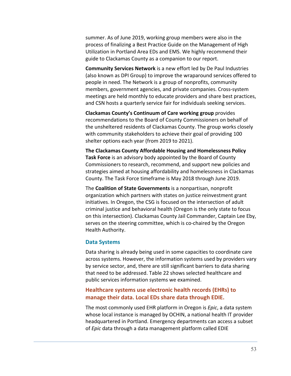summer. As of June 2019, working group members were also in the process of finalizing a Best Practice Guide on the Management of High Utilization in Portland Area EDs and EMS. We highly recommend their guide to Clackamas County as a companion to our report.

**Community Services Network** is a new effort led by De Paul Industries (also known as DPI Group) to improve the wraparound services offered to people in need. The Network is a group of nonprofits, community members, government agencies, and private companies. Cross‐system meetings are held monthly to educate providers and share best practices, and CSN hosts a quarterly service fair for individuals seeking services.

**Clackamas County's Continuum of Care working group** provides recommendations to the Board of County Commissioners on behalf of the unsheltered residents of Clackamas County. The group works closely with community stakeholders to achieve their goal of providing 100 shelter options each year (from 2019 to 2021).

**The Clackamas County Affordable Housing and Homelessness Policy Task Force** is an advisory body appointed by the Board of County Commissioners to research, recommend, and support new policies and strategies aimed at housing affordability and homelessness in Clackamas County. The Task Force timeframe is May 2018 through June 2019.

The **Coalition of State Governments** is a nonpartisan, nonprofit organization which partners with states on justice reinvestment grant initiatives. In Oregon, the CSG is focused on the intersection of adult criminal justice and behavioral health (Oregon is the only state to focus on this intersection). Clackamas County Jail Commander, Captain Lee Eby, serves on the steering committee, which is co-chaired by the Oregon Health Authority.

#### **Data Systems**

Data sharing is already being used in some capacities to coordinate care across systems. However, the information systems used by providers vary by service sector, and, there are still significant barriers to data sharing that need to be addressed. Table 22 shows selected healthcare and public services information systems we examined.

# **Healthcare systems use electronic health records (EHRs) to manage their data. Local EDs share data through EDIE.**

The most commonly used EHR platform in Oregon is *Epic*, a data system whose local instance is managed by OCHIN, a national health IT provider headquartered in Portland. Emergency departments can access a subset of *Epic* data through a data management platform called EDIE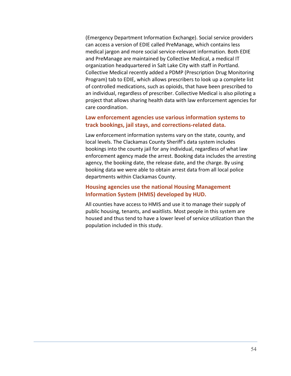(Emergency Department Information Exchange). Social service providers can access a version of EDIE called PreManage, which contains less medical jargon and more social service‐relevant information. Both EDIE and PreManage are maintained by Collective Medical, a medical IT organization headquartered in Salt Lake City with staff in Portland. Collective Medical recently added a PDMP (Prescription Drug Monitoring Program) tab to EDIE, which allows prescribers to look up a complete list of controlled medications, such as opioids, that have been prescribed to an individual, regardless of prescriber. Collective Medical is also piloting a project that allows sharing health data with law enforcement agencies for care coordination.

# **Law enforcement agencies use various information systems to track bookings, jail stays, and corrections‐related data.**

Law enforcement information systems vary on the state, county, and local levels. The Clackamas County Sheriff's data system includes bookings into the county jail for any individual, regardless of what law enforcement agency made the arrest. Booking data includes the arresting agency, the booking date, the release date, and the charge. By using booking data we were able to obtain arrest data from all local police departments within Clackamas County.

# **Housing agencies use the national Housing Management Information System (HMIS) developed by HUD.**

All counties have access to HMIS and use it to manage their supply of public housing, tenants, and waitlists. Most people in this system are housed and thus tend to have a lower level of service utilization than the population included in this study.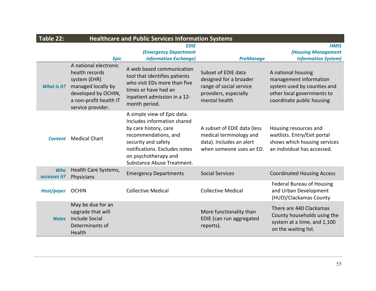| Table 22:                  | <b>Healthcare and Public Services Information Systems</b>                                                                                           |                                                                                                                                                                                                                           |                                                                                                                    |                                                                                                                                        |  |  |  |  |
|----------------------------|-----------------------------------------------------------------------------------------------------------------------------------------------------|---------------------------------------------------------------------------------------------------------------------------------------------------------------------------------------------------------------------------|--------------------------------------------------------------------------------------------------------------------|----------------------------------------------------------------------------------------------------------------------------------------|--|--|--|--|
|                            |                                                                                                                                                     | <b>EDIE</b>                                                                                                                                                                                                               |                                                                                                                    | <b>HMIS</b>                                                                                                                            |  |  |  |  |
|                            |                                                                                                                                                     | <b>(Emergency Department</b>                                                                                                                                                                                              |                                                                                                                    | <b>(Housing Management</b>                                                                                                             |  |  |  |  |
|                            | <b>Epic</b>                                                                                                                                         | <b>Information Exchange)</b>                                                                                                                                                                                              | <b>PreManage</b>                                                                                                   | <b>Information System)</b>                                                                                                             |  |  |  |  |
| What is it?                | A national electronic<br>health records<br>system (EHR)<br>managed locally by<br>developed by OCHIN,<br>a non-profit health IT<br>service provider. | A web based communication<br>tool that identifies patients<br>who visit EDs more than five<br>times or have had an<br>inpatient admission in a 12-<br>month period.                                                       | Subset of EDIE data<br>designed for a broader<br>range of social service<br>providers, especially<br>mental health | A national housing<br>management information<br>system used by counties and<br>other local governments to<br>coordinate public housing |  |  |  |  |
| <b>Content</b>             | <b>Medical Chart</b>                                                                                                                                | A simple view of Epic data.<br>Includes information shared<br>by care history, care<br>recommendations, and<br>security and safety<br>notifications. Excludes notes<br>on psychotherapy and<br>Substance Abuse Treatment. | A subset of EDIE data (less<br>medical terminology and<br>data). Includes an alert<br>when someone uses an ED.     | Housing resources and<br>waitlists. Entry/Exit portal<br>shows which housing services<br>an individual has accessed.                   |  |  |  |  |
| <b>Who</b><br>accesses it? | Health Care Systems,<br>Physicians                                                                                                                  | <b>Emergency Departments</b>                                                                                                                                                                                              | <b>Social Services</b>                                                                                             | <b>Coordinated Housing Access</b>                                                                                                      |  |  |  |  |
| Host/payer                 | <b>OCHIN</b>                                                                                                                                        | <b>Collective Medical</b>                                                                                                                                                                                                 | <b>Collective Medical</b>                                                                                          | <b>Federal Bureau of Housing</b><br>and Urban Development<br>(HUD)/Clackamas County                                                    |  |  |  |  |
| <b>Notes</b>               | May be due for an<br>upgrade that will<br>include Social<br>Determinants of<br>Health                                                               |                                                                                                                                                                                                                           | More functionality than<br>EDIE (can run aggregated<br>reports).                                                   | There are 440 Clackamas<br>County households using the<br>system at a time, and 1,100<br>on the waiting list.                          |  |  |  |  |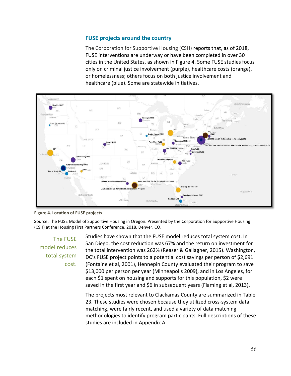# **FUSE projects around the country**

The Corporation for Supportive Housing (CSH) reports that, as of 2018, FUSE interventions are underway or have been completed in over 30 cities in the United States, as shown in Figure 4. Some FUSE studies focus only on criminal justice involvement (purple), healthcare costs (orange), or homelessness; others focus on both justice involvement and healthcare (blue). Some are statewide initiatives.



**Figure 4. Location of FUSE projects**

Source: The FUSE Model of Supportive Housing in Oregon. Presented by the Corporation for Supportive Housing (CSH) at the Housing First Partners Conference, 2018, Denver, CO.

The FUSE model reduces total system cost.

Studies have shown that the FUSE model reduces total system cost. In San Diego, the cost reduction was 67% and the return on investment for the total intervention was 262% (Reaser & Gallagher, 2015). Washington, DC's FUSE project points to a potential cost savings per person of \$2,691 (Fontaine et al, 2001), Hennepin County evaluated their program to save \$13,000 per person per year (Minneapolis 2009), and in Los Angeles, for each \$1 spent on housing and supports for this population, \$2 were saved in the first year and \$6 in subsequent years (Flaming et al, 2013).

The projects most relevant to Clackamas County are summarized in Table 23. These studies were chosen because they utilized cross‐system data matching, were fairly recent, and used a variety of data matching methodologies to identify program participants. Full descriptions of these studies are included in Appendix A.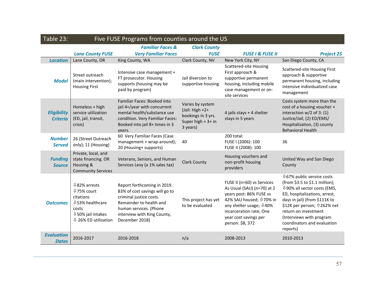| Table 23:                             | Five FUSE Programs from counties around the US                                                                                                        |                                                                                                                                                                                                |                                                                                                   |                                                                                                                                                                                                                                          |                                                                                                                                                                                                                                                                                                          |  |  |  |  |
|---------------------------------------|-------------------------------------------------------------------------------------------------------------------------------------------------------|------------------------------------------------------------------------------------------------------------------------------------------------------------------------------------------------|---------------------------------------------------------------------------------------------------|------------------------------------------------------------------------------------------------------------------------------------------------------------------------------------------------------------------------------------------|----------------------------------------------------------------------------------------------------------------------------------------------------------------------------------------------------------------------------------------------------------------------------------------------------------|--|--|--|--|
|                                       |                                                                                                                                                       | <b>Familiar Faces &amp;</b>                                                                                                                                                                    | <b>Clark County</b>                                                                               |                                                                                                                                                                                                                                          |                                                                                                                                                                                                                                                                                                          |  |  |  |  |
|                                       | <b>Lane County FUSE</b>                                                                                                                               | <b>Very Familiar Faces</b>                                                                                                                                                                     | <b>FUSE</b>                                                                                       | <b>FUSE I &amp; FUSE II</b>                                                                                                                                                                                                              | <b>Project 25</b>                                                                                                                                                                                                                                                                                        |  |  |  |  |
| <b>Location</b>                       | Lane County, OR                                                                                                                                       | King County, WA                                                                                                                                                                                | Clark County, NV                                                                                  | New York City, NY                                                                                                                                                                                                                        | San Diego County, CA                                                                                                                                                                                                                                                                                     |  |  |  |  |
| <b>Model</b>                          | Street outreach<br>(main intervention);<br><b>Housing First</b>                                                                                       | Intensive case management +<br>FT prosecutor. Housing<br>supports (housing may be<br>paid by program)                                                                                          | Jail diversion to<br>supportive housing                                                           | <b>Scattered-site Housing</b><br>First approach &<br>supportive permanent<br>housing, including mobile<br>case management or on-<br>site services                                                                                        | Scattered-site Housing First<br>approach & supportive<br>permanent housing, including<br>intensive individualized case<br>management                                                                                                                                                                     |  |  |  |  |
| <b>Eligibility</b><br><b>Criteria</b> | Homeless + high<br>service utilization<br>(ED, jail, transit,<br>crisis)                                                                              | Familiar Faces: Booked into<br>jail 4+/year with concurrent<br>mental health/substance use<br>condition. Very Familiar Faces:<br>Booked into jail 8+ times in 3<br>years.                      | Varies by system<br>$(Jail: High = 2 +$<br>bookings in 3 yrs.<br>Super high $=$ 3+ in<br>3 years) | 4 jails stays + 4 shelter<br>stays in 5 years                                                                                                                                                                                            | Costs system more than the<br>cost of a housing voucher +<br>interaction $w/2$ of 3: (1)<br>Justice/Jail, (2) ED/EMS/<br>Hospitalization, (3) county<br><b>Behavioral Health</b>                                                                                                                         |  |  |  |  |
| <b>Number</b><br><b>Served</b>        | 26 (Street Outreach<br>only); 11 (Housing)                                                                                                            | 60 Very Familiar Faces (Case<br>management + wrap-around);<br>20 (Housing+ supports)                                                                                                           | 40                                                                                                | 200 total:<br>FUSE I (2006): 100<br>FUSE II (2008): 100                                                                                                                                                                                  | 36                                                                                                                                                                                                                                                                                                       |  |  |  |  |
| <b>Funding</b><br><b>Source</b>       | Private, local, and<br>state financing. OR<br>Housing &<br><b>Community Services</b>                                                                  | Veterans, Seniors, and Human<br>Services Levy (a 1% sales tax)                                                                                                                                 | <b>Clark County</b>                                                                               | Housing vouchers and<br>non-profit housing<br>providers                                                                                                                                                                                  | United Way and San Diego<br>County                                                                                                                                                                                                                                                                       |  |  |  |  |
| <b>Outcomes</b>                       | <b>↓82% arrests</b><br><b>↓75% court</b><br>citations<br><b>↓53% healthcare</b><br>costs<br><b>↓50% jail intakes</b><br>$\sqrt{126\%}$ ED utilization | Report forthcoming in 2019.<br>83% of cost savings will go to<br>criminal justice costs.<br>Remainder to health and<br>human services. (Phone<br>interview with King County,<br>December 2018) | This project has yet<br>to be evaluated                                                           | FUSE II (n=60) vs Services<br>As Usual (SAU) (n=70) at 2<br>years post: 86% FUSE vs<br>42% SAU housed; $\sqrt[1]{20\%}$ in<br>any shelter usage; $\sqrt{0.40\%}$<br>incarceration rate; One<br>year cost savings per<br>person: \$8, 372 | <b>↓67% public service costs</b><br>(from \$3.5 to \$1.1 million);<br><b>↓90% all sector costs (EMS,</b><br>ED, hospitalizations, arrest,<br>days in jail) (from \$111K to<br>\$12K per person; 1262% net<br>return on investment<br>(Interviews with program<br>coordinators and evaluation<br>reports) |  |  |  |  |
| <b>Evaluation</b><br><b>Dates</b>     | 2016-2017                                                                                                                                             | 2016-2018                                                                                                                                                                                      | n/a                                                                                               | 2008-2013                                                                                                                                                                                                                                | 2010-2013                                                                                                                                                                                                                                                                                                |  |  |  |  |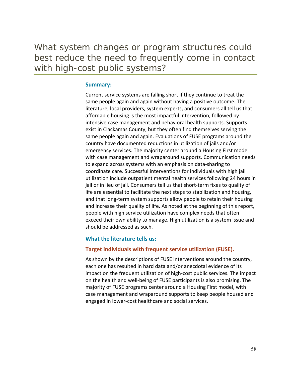What system changes or program structures could best reduce the need to frequently come in contact with high-cost public systems?

### **Summary:**

Current service systems are falling short if they continue to treat the same people again and again without having a positive outcome. The literature, local providers, system experts, and consumers all tell us that affordable housing is the most impactful intervention, followed by intensive case management and behavioral health supports. Supports exist in Clackamas County, but they often find themselves serving the same people again and again. Evaluations of FUSE programs around the country have documented reductions in utilization of jails and/or emergency services. The majority center around a Housing First model with case management and wraparound supports. Communication needs to expand across systems with an emphasis on data‐sharing to coordinate care. Successful interventions for individuals with high jail utilization include outpatient mental health services following 24 hours in jail or in lieu of jail. Consumers tell us that short-term fixes to quality of life are essential to facilitate the next steps to stabilization and housing, and that long‐term system supports allow people to retain their housing and increase their quality of life. As noted at the beginning of this report, people with high service utilization have complex needs that often exceed their own ability to manage. High utilization is a system issue and should be addressed as such.

#### **What the literature tells us:**

#### **Target individuals with frequent service utilization (FUSE).**

As shown by the descriptions of FUSE interventions around the country, each one has resulted in hard data and/or anecdotal evidence of its impact on the frequent utilization of high‐cost public services. The impact on the health and well‐being of FUSE participants is also promising. The majority of FUSE programs center around a Housing First model, with case management and wraparound supports to keep people housed and engaged in lower‐cost healthcare and social services.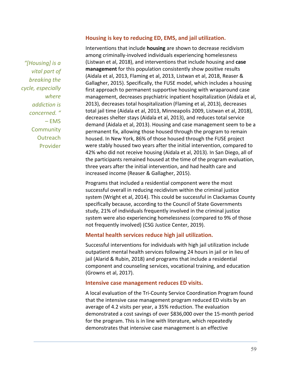# *"[Housing] is a vital part of breaking the cycle, especially where addiction is concerned. "*   $-$  EMS **Community Outreach** Provider

### **Housing is key to reducing ED, EMS, and jail utilization.**

Interventions that include **housing** are shown to decrease recidivism among criminally‐involved individuals experiencing homelessness (Listwan et al, 2018), and interventions that include housing and **case management** for this population consistently show positive results (Aidala et al, 2013, Flaming et al, 2013, Listwan et al, 2018, Reaser & Gallagher, 2015). Specifically, the FUSE model, which includes a housing first approach to permanent supportive housing with wraparound case management, decreases psychiatric inpatient hospitalization (Aidala et al, 2013), decreases total hospitalization (Flaming et al, 2013), decreases total jail time (Aidala et al, 2013, Minneapolis 2009, Listwan et al, 2018), decreases shelter stays (Aidala et al, 2013), and reduces total service demand (Aidala et al, 2013). Housing and case management seem to be a permanent fix, allowing those housed through the program to remain housed. In New York, 86% of those housed through the FUSE project were stably housed two years after the initial intervention, compared to 42% who did not receive housing (Aidala et al, 2013). In San Diego, all of the participants remained housed at the time of the program evaluation, three years after the initial intervention, and had health care and increased income (Reaser & Gallagher, 2015).

Programs that included a residential component were the most successful overall in reducing recidivism within the criminal justice system (Wright et al, 2014). This could be successful in Clackamas County specifically because, according to the Council of State Governments study, 21% of individuals frequently involved in the criminal justice system were also experiencing homelessness (compared to 9% of those not frequently involved) (CSG Justice Center, 2019).

### **Mental health services reduce high jail utilization.**

Successful interventions for individuals with high jail utilization include outpatient mental health services following 24 hours in jail or in lieu of jail (Alarid & Rubin, 2018) and programs that include a residential component and counseling services, vocational training, and education (Growns et al, 2017).

#### **Intensive case management reduces ED visits.**

A local evaluation of the Tri‐County Service Coordination Program found that the intensive case management program reduced ED visits by an average of 4.2 visits per year, a 35% reduction. The evaluation demonstrated a cost savings of over \$836,000 over the 15‐month period for the program. This is in line with literature, which repeatedly demonstrates that intensive case management is an effective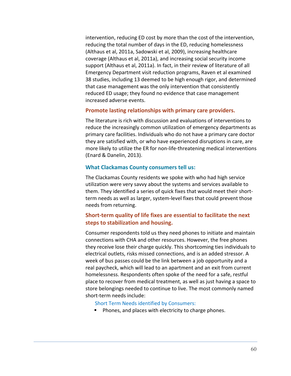intervention, reducing ED cost by more than the cost of the intervention, reducing the total number of days in the ED, reducing homelessness (Althaus et al, 2011a, Sadowski et al, 2009), increasing healthcare coverage (Althaus et al, 2011a), and increasing social security income support (Althaus et al, 2011a). In fact, in their review of literature of all Emergency Department visit reduction programs, Raven et al examined 38 studies, including 13 deemed to be high enough rigor, and determined that case management was the only intervention that consistently reduced ED usage; they found no evidence that case management increased adverse events.

#### **Promote lasting relationships with primary care providers.**

The literature is rich with discussion and evaluations of interventions to reduce the increasingly common utilization of emergency departments as primary care facilities. Individuals who do not have a primary care doctor they are satisfied with, or who have experienced disruptions in care, are more likely to utilize the ER for non‐life‐threatening medical interventions (Enard & Danelin, 2013).

### **What Clackamas County consumers tell us:**

The Clackamas County residents we spoke with who had high service utilization were very savvy about the systems and services available to them. They identified a series of quick fixes that would meet their short‐ term needs as well as larger, system‐level fixes that could prevent those needs from returning.

# **Short‐term quality of life fixes are essential to facilitate the next steps to stabilization and housing.**

Consumer respondents told us they need phones to initiate and maintain connections with CHA and other resources. However, the free phones they receive lose their charge quickly. This shortcoming ties individuals to electrical outlets, risks missed connections, and is an added stressor. A week of bus passes could be the link between a job opportunity and a real paycheck, which will lead to an apartment and an exit from current homelessness. Respondents often spoke of the need for a safe, restful place to recover from medical treatment, as well as just having a space to store belongings needed to continue to live. The most commonly named short‐term needs include:

Short Term Needs identified by Consumers:

**Phones, and places with electricity to charge phones.**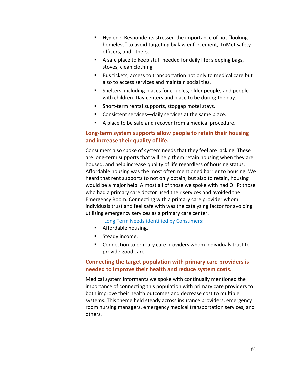- Hygiene. Respondents stressed the importance of not "looking homeless" to avoid targeting by law enforcement, TriMet safety officers, and others.
- A safe place to keep stuff needed for daily life: sleeping bags, stoves, clean clothing.
- Bus tickets, access to transportation not only to medical care but also to access services and maintain social ties.
- Shelters, including places for couples, older people, and people with children. Day centers and place to be during the day.
- Short-term rental supports, stopgap motel stays.
- Consistent services—daily services at the same place.
- A place to be safe and recover from a medical procedure.

# **Long‐term system supports allow people to retain their housing and increase their quality of life.**

Consumers also spoke of system needs that they feel are lacking. These are long‐term supports that will help them retain housing when they are housed, and help increase quality of life regardless of housing status. Affordable housing was the most often mentioned barrier to housing. We heard that rent supports to not only obtain, but also to retain, housing would be a major help. Almost all of those we spoke with had OHP; those who had a primary care doctor used their services and avoided the Emergency Room. Connecting with a primary care provider whom individuals trust and feel safe with was the catalyzing factor for avoiding utilizing emergency services as a primary care center.

Long Term Needs identified by Consumers:

- **Affordable housing.**
- **Steady income.**
- Connection to primary care providers whom individuals trust to provide good care.

# **Connecting the target population with primary care providers is needed to improve their health and reduce system costs.**

Medical system informants we spoke with continually mentioned the importance of connecting this population with primary care providers to both improve their health outcomes and decrease cost to multiple systems. This theme held steady across insurance providers, emergency room nursing managers, emergency medical transportation services, and others.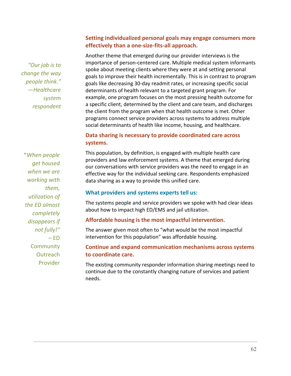*"Our job is to change the way people think." —Healthcare system respondent* 

# **Setting individualized personal goals may engage consumers more effectively than a one‐size‐fits‐all approach.**

Another theme that emerged during our provider interviews is the importance of person‐centered care. Multiple medical system informants spoke about meeting clients where they were at and setting personal goals to improve their health incrementally. This is in contrast to program goals like decreasing 30‐day readmit rates, or increasing specific social determinants of health relevant to a targeted grant program. For example, one program focuses on the most pressing health outcome for a specific client, determined by the client and care team, and discharges the client from the program when that health outcome is met. Other programs connect service providers across systems to address multiple social determinants of health like income, housing, and healthcare.

# **Data sharing is necessary to provide coordinated care across systems.**

"*When people get housed when we are working with them, utilization of the ED almost completely disappears if not fully!"*  – ED **Community Outreach** Provider

This population, by definition, is engaged with multiple health care providers and law enforcement systems. A theme that emerged during our conversations with service providers was the need to engage in an effective way for the individual seeking care. Respondents emphasized data sharing as a way to provide this unified care.

# **What providers and systems experts tell us:**

The systems people and service providers we spoke with had clear ideas about how to impact high ED/EMS and jail utilization.

# **Affordable housing is the most impactful intervention.**

The answer given most often to "what would be the most impactful intervention for this population" was affordable housing.

# **Continue and expand communication mechanisms across systems to coordinate care.**

The existing community responder information sharing meetings need to continue due to the constantly changing nature of services and patient needs.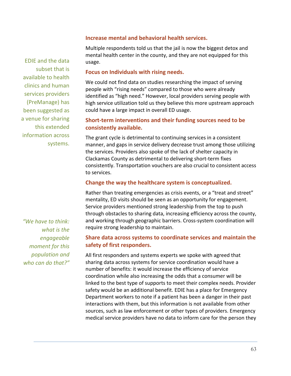EDIE and the data subset that is available to health clinics and human services providers (PreManage) has been suggested as a venue for sharing this extended information across systems.

### **Increase mental and behavioral health services.**

Multiple respondents told us that the jail is now the biggest detox and mental health center in the county, and they are not equipped for this usage.

### **Focus on Individuals with rising needs.**

We could not find data on studies researching the impact of serving people with "rising needs" compared to those who were already identified as "high need." However, local providers serving people with high service utilization told us they believe this more upstream approach could have a large impact in overall ED usage.

# **Short‐term interventions and their funding sources need to be consistently available.**

The grant cycle is detrimental to continuing services in a consistent manner, and gaps in service delivery decrease trust among those utilizing the services. Providers also spoke of the lack of shelter capacity in Clackamas County as detrimental to delivering short‐term fixes consistently. Transportation vouchers are also crucial to consistent access to services.

# **Change the way the healthcare system is conceptualized.**

Rather than treating emergencies as crisis events, or a "treat and street" mentality, ED visits should be seen as an opportunity for engagement. Service providers mentioned strong leadership from the top to push through obstacles to sharing data, increasing efficiency across the county, and working through geographic barriers. Cross‐system coordination will require strong leadership to maintain.

# **Share data across systems to coordinate services and maintain the safety of first responders.**

All first responders and systems experts we spoke with agreed that sharing data across systems for service coordination would have a number of benefits: it would increase the efficiency of service coordination while also increasing the odds that a consumer will be linked to the best type of supports to meet their complex needs. Provider safety would be an additional benefit. EDIE has a place for Emergency Department workers to note if a patient has been a danger in their past interactions with them, but this information is not available from other sources, such as law enforcement or other types of providers. Emergency medical service providers have no data to inform care for the person they

*"We have to think: what is the engageable moment for this population and who can do that?"*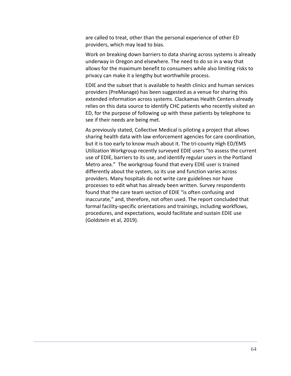are called to treat, other than the personal experience of other ED providers, which may lead to bias.

Work on breaking down barriers to data sharing across systems is already underway in Oregon and elsewhere. The need to do so in a way that allows for the maximum benefit to consumers while also limiting risks to privacy can make it a lengthy but worthwhile process.

EDIE and the subset that is available to health clinics and human services providers (PreManage) has been suggested as a venue for sharing this extended information across systems. Clackamas Health Centers already relies on this data source to identify CHC patients who recently visited an ED, for the purpose of following up with these patients by telephone to see if their needs are being met.

As previously stated, Collective Medical is piloting a project that allows sharing health data with law enforcement agencies for care coordination, but it is too early to know much about it. The tri-county High ED/EMS Utilization Workgroup recently surveyed EDIE users "to assess the current use of EDIE, barriers to its use, and identify regular users in the Portland Metro area." The workgroup found that every EDIE user is trained differently about the system, so its use and function varies across providers. Many hospitals do not write care guidelines nor have processes to edit what has already been written. Survey respondents found that the care team section of EDIE "is often confusing and inaccurate," and, therefore, not often used. The report concluded that formal facility‐specific orientations and trainings, including workflows, procedures, and expectations, would facilitate and sustain EDIE use (Goldstein et al, 2019).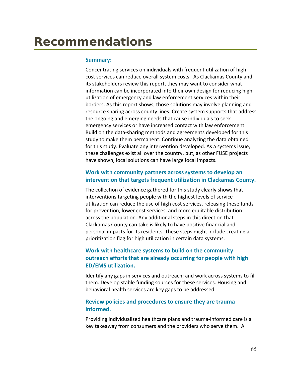### **Summary:**

Concentrating services on individuals with frequent utilization of high cost services can reduce overall system costs. As Clackamas County and its stakeholders review this report, they may want to consider what information can be incorporated into their own design for reducing high utilization of emergency and law enforcement services within their borders. As this report shows, those solutions may involve planning and resource sharing across county lines. Create system supports that address the ongoing and emerging needs that cause individuals to seek emergency services or have increased contact with law enforcement. Build on the data‐sharing methods and agreements developed for this study to make them permanent. Continue analyzing the data obtained for this study. Evaluate any intervention developed. As a systems issue, these challenges exist all over the country, but, as other FUSE projects have shown, local solutions can have large local impacts.

# **Work with community partners across systems to develop an intervention that targets frequent utilization in Clackamas County.**

The collection of evidence gathered for this study clearly shows that interventions targeting people with the highest levels of service utilization can reduce the use of high cost services, releasing these funds for prevention, lower cost services, and more equitable distribution across the population. Any additional steps in this direction that Clackamas County can take is likely to have positive financial and personal impacts for its residents. These steps might include creating a prioritization flag for high utilization in certain data systems.

# **Work with healthcare systems to build on the community outreach efforts that are already occurring for people with high ED/EMS utilization.**

Identify any gaps in services and outreach; and work across systems to fill them. Develop stable funding sources for these services. Housing and behavioral health services are key gaps to be addressed.

# **Review policies and procedures to ensure they are trauma informed.**

Providing individualized healthcare plans and trauma‐informed care is a key takeaway from consumers and the providers who serve them. A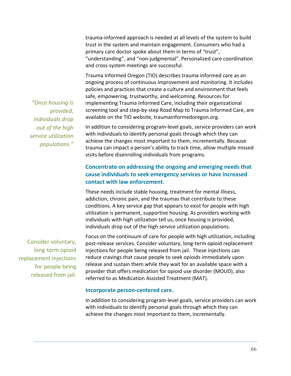trauma‐informed approach is needed at all levels of the system to build trust in the system and maintain engagement. Consumers who had a primary care doctor spoke about them in terms of "trust", "understanding", and "non‐judgmental". Personalized care coordination and cross‐system meetings are successful.

Trauma Informed Oregon (TIO) describes trauma informed care as an ongoing process of continuous improvement and monitoring. It includes policies and practices that create a culture and environment that feels safe, empowering, trustworthy, and welcoming. Resources for implementing Trauma Informed Care, including their organizational screening tool and step-by-step Road Map to Trauma Informed Care, are available on the TIO website, traumainformedoregon.org.

In addition to considering program‐level goals, service providers can work with individuals to identify personal goals through which they can achieve the changes most important to them, incrementally. Because trauma can impact a person's ability to track time, allow multiple missed visits before disenrolling individuals from programs.

## **Concentrate on addressing the ongoing and emerging needs that cause individuals to seek emergency services or have increased contact with law enforcement.**

These needs include stable housing, treatment for mental illness, addiction, chronic pain, and the traumas that contribute to these conditions. A key service gap that appears to exist for people with high utilization is permanent, supportive housing. As providers working with individuals with high utilization tell us, once housing is provided, individuals drop out of the high service utilization populations.

Focus on the continuum of care for people with high utilization, including post‐release services. Consider voluntary, long‐term opioid replacement injections for people being released from jail. These injections can reduce cravings that cause people to seek opioids immediately upon release and sustain them while they wait for an available space with a provider that offers medication for opioid use disorder (MOUD), also referred to as Medication Assisted Treatment (MAT).

#### **Incorporate person‐centered care.**

In addition to considering program‐level goals, service providers can work with individuals to identify personal goals through which they can achieve the changes most important to them, incrementally.

*"Once housing is provided, individuals drop out of the high service utilization populations."* 

Consider voluntary, long‐term opioid replacement injections for people being released from jail.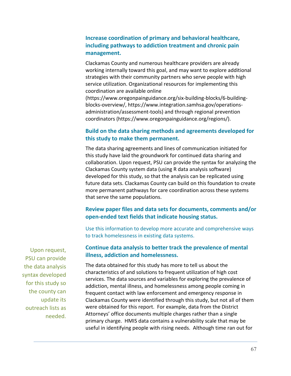## **Increase coordination of primary and behavioral healthcare, including pathways to addiction treatment and chronic pain management.**

Clackamas County and numerous healthcare providers are already working internally toward this goal, and may want to explore additional strategies with their community partners who serve people with high service utilization. Organizational resources for implementing this coordination are available online

(https://www.oregonpainguidance.org/six‐building‐blocks/6‐building‐ blocks‐overview/, https://www.integration.samhsa.gov/operations‐ administration/assessment‐tools) and through regional prevention coordinators (https://www.oregonpainguidance.org/regions/).

## **Build on the data sharing methods and agreements developed for this study to make them permanent.**

The data sharing agreements and lines of communication initiated for this study have laid the groundwork for continued data sharing and collaboration. Upon request, PSU can provide the syntax for analyzing the Clackamas County system data (using R data analysis software) developed for this study, so that the analysis can be replicated using future data sets. Clackamas County can build on this foundation to create more permanent pathways for care coordination across these systems that serve the same populations.

## **Review paper files and data sets for documents, comments and/or open‐ended text fields that indicate housing status.**

Use this information to develop more accurate and comprehensive ways to track homelessness in existing data systems.

## **Continue data analysis to better track the prevalence of mental illness, addiction and homelessness.**

The data obtained for this study has more to tell us about the characteristics of and solutions to frequent utilization of high cost services. The data sources and variables for exploring the prevalence of addiction, mental illness, and homelessness among people coming in frequent contact with law enforcement and emergency response in Clackamas County were identified through this study, but not all of them were obtained for this report. For example, data from the District Attorneys' office documents multiple charges rather than a single primary charge. HMIS data contains a vulnerability scale that may be useful in identifying people with rising needs. Although time ran out for

Upon request, PSU can provide the data analysis syntax developed for this study so the county can update its outreach lists as needed.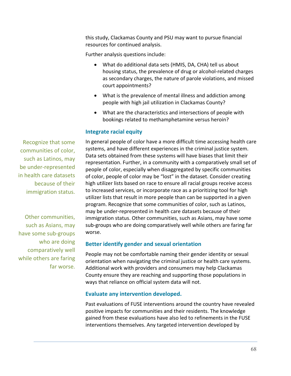this study, Clackamas County and PSU may want to pursue financial resources for continued analysis.

Further analysis questions include:

- What do additional data sets (HMIS, DA, CHA) tell us about housing status, the prevalence of drug or alcohol‐related charges as secondary charges, the nature of parole violations, and missed court appointments?
- What is the prevalence of mental illness and addiction among people with high jail utilization in Clackamas County?
- What are the characteristics and intersections of people with bookings related to methamphetamine versus heroin?

## **Integrate racial equity**

In general people of color have a more difficult time accessing health care systems, and have different experiences in the criminal justice system. Data sets obtained from these systems will have biases that limit their representation. Further, in a community with a comparatively small set of people of color, especially when disaggregated by specific communities of color, people of color may be "lost" in the dataset. Consider creating high utilizer lists based on race to ensure all racial groups receive access to increased services, or incorporate race as a prioritizing tool for high utilizer lists that result in more people than can be supported in a given program. Recognize that some communities of color, such as Latinos, may be under‐represented in health care datasets because of their immigration status. Other communities, such as Asians, may have some sub‐groups who are doing comparatively well while others are faring far worse.

## **Better identify gender and sexual orientation**

People may not be comfortable naming their gender identity or sexual orientation when navigating the criminal justice or health care systems. Additional work with providers and consumers may help Clackamas County ensure they are reaching and supporting those populations in ways that reliance on official system data will not.

#### **Evaluate any intervention developed.**

Past evaluations of FUSE interventions around the country have revealed positive impacts for communities and their residents. The knowledge gained from these evaluations have also led to refinements in the FUSE interventions themselves. Any targeted intervention developed by

Recognize that some communities of color, such as Latinos, may be under‐represented in health care datasets because of their immigration status.

Other communities, such as Asians, may have some sub‐groups who are doing comparatively well while others are faring far worse.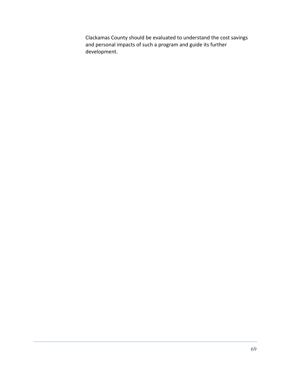Clackamas County should be evaluated to understand the cost savings and personal impacts of such a program and guide its further development.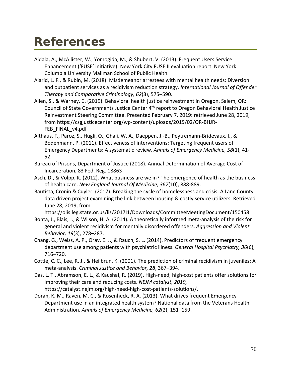## **References**

- Aidala, A., McAllister, W., Yomogida, M., & Shubert, V. (2013). Frequent Users Service Enhancement ('FUSE' initiative): New York City FUSE II evaluation report. New York: Columbia University Mailman School of Public Health.
- Alarid, L. F., & Rubin, M. (2018). Misdemeanor arrestees with mental health needs: Diversion and outpatient services as a recidivism reduction strategy. *International Journal of Offender Therapy and Comparative Criminology, 62*(3), 575–590.
- Allen, S., & Warney, C. (2019). Behavioral health justice reinvestment in Oregon. Salem, OR: Council of State Governments Justice Center 4<sup>th</sup> report to Oregon Behavioral Health Justice Reinvestment Steering Committee. Presented February 7, 2019: retrieved June 28, 2019, from https://csgjusticecenter.org/wp‐content/uploads/2019/02/OR‐BHJR‐ FEB\_FINAL\_v4.pdf
- Althaus, F., Paroz, S., Hugli, O., Ghali, W. A., Daeppen, J.‐B., Peytremann‐Bridevaux, I., & Bodenmann, P. (2011). Effectiveness of interventions: Targeting frequent users of Emergency Departments: A systematic review. *Annals of Emergency Medicine, 58*(1), 41‐ 52.
- Bureau of Prisons, Department of Justice (2018). Annual Determination of Average Cost of Incarceration, 83 Fed. Reg. 18863
- Asch, D., & Volpp, K. (2012). What business are we in? The emergence of health as the business of health care. *New England Journal Of Medicine, 367*(10), 888‐889.
- Bautista, Cronin & Cuyler. (2017). Breaking the cycle of homelessness and crisis: A Lane County data driven project examining the link between housing & costly service utilizers. Retrieved June 28, 2019, from

https://olis.leg.state.or.us/liz/2017I1/Downloads/CommitteeMeetingDocument/150458

- Bonta, J., Blais, J., & Wilson, H. A. (2014). A theoretically informed meta‐analysis of the risk for general and violent recidivism for mentally disordered offenders. *Aggression and Violent Behavior, 19*(3), 278–287.
- Chang, G., Weiss, A. P., Orav, E. J., & Rauch, S. L. (2014). Predictors of frequent emergency department use among patients with psychiatric illness. *General Hospital Psychiatry, 36*(6), 716–720.
- Cottle, C. C., Lee, R. J., & Heilbrun, K. (2001). The prediction of criminal recidivism in juveniles: A meta‐analysis. *Criminal Justice and Behavior, 28*, 367–394.
- Das, L. T., Abramson, E. L., & Kaushal, R. (2019). High‐need, high‐cost patients offer solutions for improving their care and reducing costs. *NEJM catalyst, 2019,* https://catalyst.nejm.org/high‐need‐high‐cost‐patients‐solutions/.
- Doran, K. M., Raven, M. C., & Rosenheck, R. A. (2013). What drives frequent Emergency Department use in an integrated health system? National data from the Veterans Health Administration. *Annals of Emergency Medicine, 62*(2), 151–159.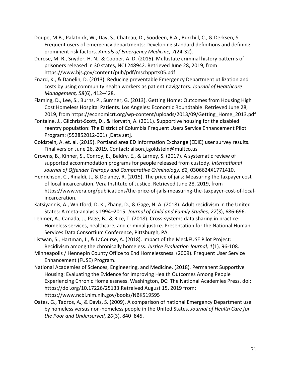- Doupe, M.B., Palatnick, W., Day, S., Chateau, D., Soodeen, R.A., Burchill, C., & Derksen, S. Frequent users of emergency departments: Developing standard definitions and defining prominent risk factors. *Annals of Emergency Medicine, 7*(24‐32).
- Durose, M. R., Snyder, H. N., & Cooper, A. D. (2015). Multistate criminal history patterns of prisoners released in 30 states, NCJ 248942. Retrieved June 28, 2019, from https://www.bjs.gov/content/pub/pdf/mschpprts05.pdf
- Enard, K., & Danelin, D. (2013). Reducing preventable Emergency Department utilization and costs by using community health workers as patient navigators. *Journal of Healthcare Management, 58*(6), 412–428.
- Flaming, D., Lee, S., Burns, P., Sumner, G. (2013). Getting Home: Outcomes from Housing High Cost Homeless Hospital Patients. Los Angeles: Economic Roundtable. Retrieved June 28, 2019, from https://economicrt.org/wp‐content/uploads/2013/09/Getting\_Home\_2013.pdf
- Fontaine, J., Gilchrist‐Scott, D., & Horvath, A. (2011). Supportive housing for the disabled reentry population: The District of Columbia Frequent Users Service Enhancement Pilot Program: (552852012‐001) [Data set].
- Goldstein, A. et. al. (2019). Portland area ED Information Exchange (EDIE) user survey results. Final version June 26, 2019. Contact: alison.j.goldstein@multco.us
- Growns, B., Kinner, S., Conroy, E., Baldry, E., & Larney, S. (2017). A systematic review of supported accommodation programs for people released from custody. *International Journal of Offender Therapy and Comparative Criminology. 62,* 0306624X1771410.
- Henrichson, C., Rinaldi, J., & Delaney, R. (2015). The price of jails: Measuring the taxpayer cost of local incarceration. Vera Institute of Justice. Retrieved June 28, 2019, from https://www.vera.org/publications/the‐price‐of‐jails‐measuring‐the‐taxpayer‐cost‐of‐local‐ incarceration.
- Katsiyannis, A., Whitford, D. K., Zhang, D., & Gage, N. A. (2018). Adult recidivism in the United States: A meta‐analysis 1994–2015. *Journal of Child and Family Studies, 27*(3), 686‐696.
- Lehmer, A., Canada, J., Page, B., & Rice, T. (2018). Cross-systems data sharing in practice: Homeless services, healthcare, and criminal justice. Presentation for the National Human Services Data Consortium Conference, Pittsburgh, PA.
- Listwan, S., Hartman, J., & LaCourse, A. (2018). Impact of the MeckFUSE Pilot Project: Recidivism among the chronically homeless. *Justice Evaluation Journal, 1*(1)*,* 96‐108.
- Minneapolis / Hennepin County Office to End Homelessness. (2009). Frequent User Service Enhancement (FUSE) Program.
- National Academies of Sciences, Engineering, and Medicine. (2018). Permanent Supportive Housing: Evaluating the Evidence for Improving Health Outcomes Among People Experiencing Chronic Homelessness. Washington, DC: The National Academies Press. doi: https://doi.org/10.17226/25133.Retreived August 15, 2019 from: https://www.ncbi.nlm.nih.gov/books/NBK519595
- Oates, G., Tadros, A., & Davis, S. (2009). A comparison of national Emergency Department use by homeless versus non‐homeless people in the United States. *Journal of Health Care for the Poor and Underserved, 20*(3), 840–845.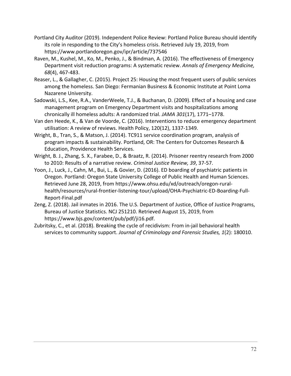- Portland City Auditor (2019). Independent Police Review: Portland Police Bureau should identify its role in responding to the City's homeless crisis. Retrieved July 19, 2019, from https://www.portlandoregon.gov/ipr/article/737546
- Raven, M., Kushel, M., Ko, M., Penko, J., & Bindman, A. (2016). The effectiveness of Emergency Department visit reduction programs: A systematic review. *Annals of Emergency Medicine, 68*(4), 467‐483.
- Reaser, L., & Gallagher, C. (2015). Project 25: Housing the most frequent users of public services among the homeless. San Diego: Fermanian Business & Economic Institute at Point Loma Nazarene University.
- Sadowski, L.S., Kee, R.A., VanderWeele, T.J., & Buchanan, D. (2009). Effect of a housing and case management program on Emergency Department visits and hospitalizations among chronically ill homeless adults: A randomized trial. *JAMA 301*(17), 1771–1778.
- Van den Heede, K., & Van de Voorde, C. (2016). Interventions to reduce emergency department utilisation: A review of reviews. Health Policy, 120(12), 1337‐1349.
- Wright, B., Tran, S., & Matson, J. (2014). TC911 service coordination program, analysis of program impacts & sustainability. Portland, OR: The Centers for Outcomes Research & Education, Providence Health Services.
- Wright, B. J., Zhang, S. X., Farabee, D., & Braatz, R. (2014). Prisoner reentry research from 2000 to 2010: Results of a narrative review. *Criminal Justice Review, 39*, 37‐57.
- Yoon, J., Luck, J., Cahn, M., Bui, L., & Govier, D. (2016). ED boarding of psychiatric patients in Oregon. Portland: Oregon State University College of Public Health and Human Sciences. Retrieved June 28, 2019, from https://www.ohsu.edu/xd/outreach/oregon‐rural‐ health/resources/rural‐frontier‐listening‐tour/upload/OHA‐Psychiatric‐ED‐Boarding‐Full‐ Report‐Final.pdf
- Zeng, Z. (2018). Jail inmates in 2016. The U.S. Department of Justice, Office of Justice Programs, Bureau of Justice Statistics. NCJ 251210. Retrieved August 15, 2019, from https://www.bjs.gov/content/pub/pdf/ji16.pdf.
- Zubritsky, C., et al. (2018). Breaking the cycle of recidivism: From in‐jail behavioral health services to community support. *Journal of Criminology and Forensic Studies, 1*(2): 180010.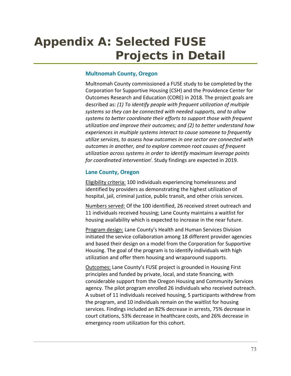# **Appendix A: Selected FUSE Projects in Detail**

## **Multnomah County, Oregon**

Multnomah County commissioned a FUSE study to be completed by the Corporation for Supportive Housing (CSH) and the Providence Center for Outcomes Research and Education (CORE) in 2018. The project goals are described as: *(1) To identify people with frequent utilization of multiple systems so they can be connected with needed supports, and to allow systems to better coordinate their efforts to support those with frequent utilization and improve their outcomes; and (2) to better understand how experiences in multiple systems interact to cause someone to frequently utilize services, to assess how outcomes in one sector are connected with outcomes in another, and to explore common root causes of frequent utilization across systems in order to identify maximum leverage points for coordinated interventioni .* Study findings are expected in 2019.

## **Lane County, Oregon**

Eligibility criteria: 100 individuals experiencing homelessness and identified by providers as demonstrating the highest utilization of hospital, jail, criminal justice, public transit, and other crisis services.

Numbers served: Of the 100 identified, 26 received street outreach and 11 individuals received housing; Lane County maintains a waitlist for housing availability which is expected to increase in the near future.

Program design: Lane County's Health and Human Services Division initiated the service collaboration among 18 different provider agencies and based their design on a model from the Corporation for Supportive Housing. The goal of the program is to identify individuals with high utilization and offer them housing and wraparound supports.

Outcomes: Lane County's FUSE project is grounded in Housing First principles and funded by private, local, and state financing, with considerable support from the Oregon Housing and Community Services agency. The pilot program enrolled 26 individuals who received outreach. A subset of 11 individuals received housing, 5 participants withdrew from the program, and 10 individuals remain on the waitlist for housing services. Findings included an 82% decrease in arrests, 75% decrease in court citations, 53% decrease in healthcare costs, and 26% decrease in emergency room utilization for this cohort.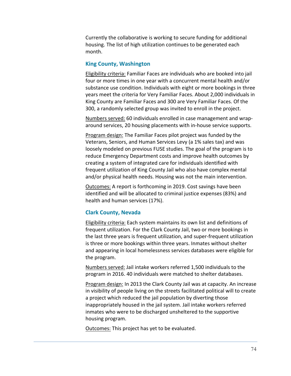Currently the collaborative is working to secure funding for additional housing. The list of high utilization continues to be generated each month.

### **King County, Washington**

Eligibility criteria: Familiar Faces are individuals who are booked into jail four or more times in one year with a concurrent mental health and/or substance use condition. Individuals with eight or more bookings in three years meet the criteria for Very Familiar Faces. About 2,000 individuals in King County are Familiar Faces and 300 are Very Familiar Faces. Of the 300, a randomly selected group was invited to enroll in the project.

Numbers served: 60 individuals enrolled in case management and wrap‐ around services, 20 housing placements with in‐house service supports.

Program design: The Familiar Faces pilot project was funded by the Veterans, Seniors, and Human Services Levy (a 1% sales tax) and was loosely modeled on previous FUSE studies. The goal of the program is to reduce Emergency Department costs and improve health outcomes by creating a system of integrated care for individuals identified with frequent utilization of King County Jail who also have complex mental and/or physical health needs. Housing was not the main intervention.

Outcomes: A report is forthcoming in 2019. Cost savings have been identified and will be allocated to criminal justice expenses (83%) and health and human services (17%).

### **Clark County, Nevada**

Eligibility criteria: Each system maintains its own list and definitions of frequent utilization. For the Clark County Jail, two or more bookings in the last three years is frequent utilization, and super‐frequent utilization is three or more bookings within three years. Inmates without shelter and appearing in local homelessness services databases were eligible for the program.

Numbers served: Jail intake workers referred 1,500 individuals to the program in 2016. 40 individuals were matched to shelter databases.

Program design: In 2013 the Clark County Jail was at capacity. An increase in visibility of people living on the streets facilitated political will to create a project which reduced the jail population by diverting those inappropriately housed in the jail system. Jail intake workers referred inmates who were to be discharged unsheltered to the supportive housing program.

Outcomes: This project has yet to be evaluated.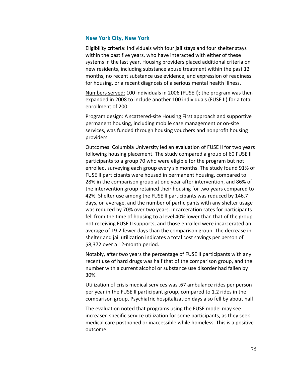## **New York City, New York**

Eligibility criteria: Individuals with four jail stays and four shelter stays within the past five years, who have interacted with either of these systems in the last year. Housing providers placed additional criteria on new residents, including substance abuse treatment within the past 12 months, no recent substance use evidence, and expression of readiness for housing, or a recent diagnosis of a serious mental health illness.

Numbers served: 100 individuals in 2006 (FUSE I); the program was then expanded in 2008 to include another 100 individuals (FUSE II) for a total enrollment of 200.

Program design: A scattered‐site Housing First approach and supportive permanent housing, including mobile case management or on‐site services, was funded through housing vouchers and nonprofit housing providers.

Outcomes: Columbia University led an evaluation of FUSE II for two years following housing placement. The study compared a group of 60 FUSE II participants to a group 70 who were eligible for the program but not enrolled, surveying each group every six months. The study found 91% of FUSE II participants were housed in permanent housing, compared to 28% in the comparison group at one year after intervention, and 86% of the intervention group retained their housing for two years compared to 42%. Shelter use among the FUSE II participants was reduced by 146.7 days, on average, and the number of participants with any shelter usage was reduced by 70% over two years. Incarceration rates for participants fell from the time of housing to a level 40% lower than that of the group not receiving FUSE II supports, and those enrolled were incarcerated an average of 19.2 fewer days than the comparison group. The decrease in shelter and jail utilization indicates a total cost savings per person of \$8,372 over a 12‐month period.

Notably, after two years the percentage of FUSE II participants with any recent use of hard drugs was half that of the comparison group, and the number with a current alcohol or substance use disorder had fallen by 30%.

Utilization of crisis medical services was .67 ambulance rides per person per year in the FUSE II participant group, compared to 1.2 rides in the comparison group. Psychiatric hospitalization days also fell by about half.

The evaluation noted that programs using the FUSE model may see increased specific service utilization for some participants, as they seek medical care postponed or inaccessible while homeless. This is a positive outcome.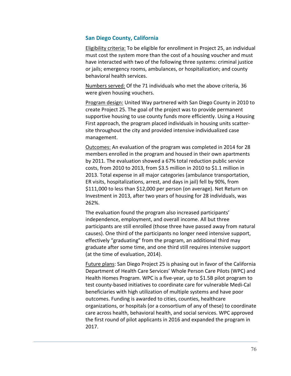## **San Diego County, California**

Eligibility criteria: To be eligible for enrollment in Project 25, an individual must cost the system more than the cost of a housing voucher and must have interacted with two of the following three systems: criminal justice or jails; emergency rooms, ambulances, or hospitalization; and county behavioral health services.

Numbers served: Of the 71 individuals who met the above criteria, 36 were given housing vouchers.

Program design: United Way partnered with San Diego County in 2010 to create Project 25. The goal of the project was to provide permanent supportive housing to use county funds more efficiently. Using a Housing First approach, the program placed individuals in housing units scatter‐ site throughout the city and provided intensive individualized case management.

Outcomes: An evaluation of the program was completed in 2014 for 28 members enrolled in the program and housed in their own apartments by 2011. The evaluation showed a 67% total reduction public service costs, from 2010 to 2013, from \$3.5 million in 2010 to \$1.1 million in 2013. Total expense in all major categories (ambulance transportation, ER visits, hospitalizations, arrest, and days in jail) fell by 90%, from \$111,000 to less than \$12,000 per person (on average). Net Return on Investment in 2013, after two years of housing for 28 individuals, was 262%.

The evaluation found the program also increased participants' independence, employment, and overall income. All but three participants are still enrolled (those three have passed away from natural causes). One third of the participants no longer need intensive support, effectively "graduating" from the program, an additional third may graduate after some time, and one third still requires intensive support (at the time of evaluation, 2014).

Future plans: San Diego Project 25 is phasing out in favor of the California Department of Health Care Services' Whole Person Care Pilots (WPC) and Health Homes Program. WPC is a five‐year, up to \$1.5B pilot program to test county‐based initiatives to coordinate care for vulnerable Medi‐Cal beneficiaries with high utilization of multiple systems and have poor outcomes. Funding is awarded to cities, counties, healthcare organizations, or hospitals (or a consortium of any of these) to coordinate care across health, behavioral health, and social services. WPC approved the first round of pilot applicants in 2016 and expanded the program in 2017.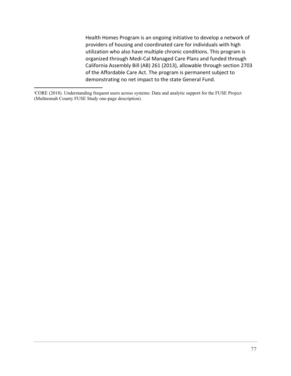Health Homes Program is an ongoing initiative to develop a network of providers of housing and coordinated care for individuals with high utilization who also have multiple chronic conditions. This program is organized through Medi‐Cal Managed Care Plans and funded through California Assembly Bill (AB) 261 (2013), allowable through section 2703 of the Affordable Care Act. The program is permanent subject to demonstrating no net impact to the state General Fund.

 $\overline{a}$ 

i CORE (2018). Understanding frequent users across systems: Data and analytic support for the FUSE Project (Multnomah County FUSE Study one-page description).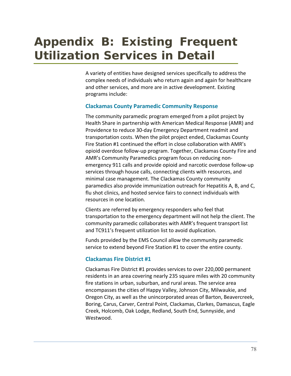# **Appendix B: Existing Frequent Utilization Services in Detail**

A variety of entities have designed services specifically to address the complex needs of individuals who return again and again for healthcare and other services, and more are in active development. Existing programs include:

## **Clackamas County Paramedic Community Response**

The community paramedic program emerged from a pilot project by Health Share in partnership with American Medical Response (AMR) and Providence to reduce 30‐day Emergency Department readmit and transportation costs. When the pilot project ended, Clackamas County Fire Station #1 continued the effort in close collaboration with AMR's opioid overdose follow‐up program. Together, Clackamas County Fire and AMR's Community Paramedics program focus on reducing non‐ emergency 911 calls and provide opioid and narcotic overdose follow‐up services through house calls, connecting clients with resources, and minimal case management. The Clackamas County community paramedics also provide immunization outreach for Hepatitis A, B, and C, flu shot clinics, and hosted service fairs to connect individuals with resources in one location.

Clients are referred by emergency responders who feel that transportation to the emergency department will not help the client. The community paramedic collaborates with AMR's frequent transport list and TC911's frequent utilization list to avoid duplication.

Funds provided by the EMS Council allow the community paramedic service to extend beyond Fire Station #1 to cover the entire county.

## **Clackamas Fire District #1**

Clackamas Fire District #1 provides services to over 220,000 permanent residents in an area covering nearly 235 square miles with 20 community fire stations in urban, suburban, and rural areas. The service area encompasses the cities of Happy Valley, Johnson City, Milwaukie, and Oregon City, as well as the unincorporated areas of Barton, Beavercreek, Boring, Carus, Carver, Central Point, Clackamas, Clarkes, Damascus, Eagle Creek, Holcomb, Oak Lodge, Redland, South End, Sunnyside, and Westwood.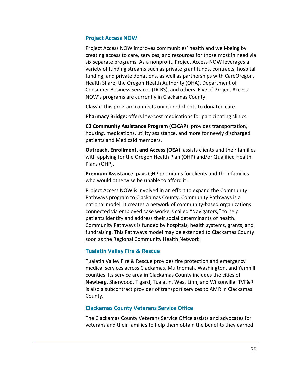## **Project Access NOW**

Project Access NOW improves communities' health and well‐being by creating access to care, services, and resources for those most in need via six separate programs. As a nonprofit, Project Access NOW leverages a variety of funding streams such as private grant funds, contracts, hospital funding, and private donations, as well as partnerships with CareOregon, Health Share, the Oregon Health Authority (OHA), Department of Consumer Business Services (DCBS), and others. Five of Project Access NOW's programs are currently in Clackamas County:

**Classic:** this program connects uninsured clients to donated care.

**Pharmacy Bridge:** offers low‐cost medications for participating clinics.

**C3 Community Assistance Program (C3CAP)**: provides transportation, housing, medications, utility assistance, and more for newly discharged patients and Medicaid members.

**Outreach, Enrollment, and Access (OEA)**: assists clients and their families with applying for the Oregon Health Plan (OHP) and/or Qualified Health Plans (QHP).

**Premium Assistance**: pays QHP premiums for clients and their families who would otherwise be unable to afford it.

Project Access NOW is involved in an effort to expand the Community Pathways program to Clackamas County. Community Pathways is a national model. It creates a network of community‐based organizations connected via employed case workers called "Navigators," to help patients identify and address their social determinants of health. Community Pathways is funded by hospitals, health systems, grants, and fundraising. This Pathways model may be extended to Clackamas County soon as the Regional Community Health Network.

## **Tualatin Valley Fire & Rescue**

Tualatin Valley Fire & Rescue provides fire protection and emergency medical services across Clackamas, Multnomah, Washington, and Yamhill counties. Its service area in Clackamas County includes the cities of Newberg, Sherwood, Tigard, Tualatin, West Linn, and Wilsonville. TVF&R is also a subcontract provider of transport services to AMR in Clackamas County.

## **Clackamas County Veterans Service Office**

The Clackamas County Veterans Service Office assists and advocates for veterans and their families to help them obtain the benefits they earned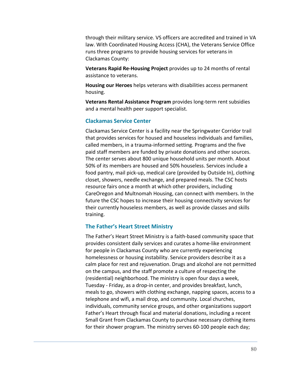through their military service. VS officers are accredited and trained in VA law. With Coordinated Housing Access (CHA), the Veterans Service Office runs three programs to provide housing services for veterans in Clackamas County:

**Veterans Rapid Re‐Housing Project** provides up to 24 months of rental assistance to veterans.

**Housing our Heroes** helps veterans with disabilities access permanent housing.

**Veterans Rental Assistance Program** provides long‐term rent subsidies and a mental health peer support specialist.

## **Clackamas Service Center**

Clackamas Service Center is a facility near the Springwater Corridor trail that provides services for housed and houseless individuals and families, called members, in a trauma‐informed setting. Programs and the five paid staff members are funded by private donations and other sources. The center serves about 800 unique household units per month. About 50% of its members are housed and 50% houseless. Services include a food pantry, mail pick‐up, medical care (provided by Outside In), clothing closet, showers, needle exchange, and prepared meals. The CSC hosts resource fairs once a month at which other providers, including CareOregon and Multnomah Housing, can connect with members. In the future the CSC hopes to increase their housing connectivity services for their currently houseless members, as well as provide classes and skills training.

#### **The Father's Heart Street Ministry**

The Father's Heart Street Ministry is a faith‐based community space that provides consistent daily services and curates a home‐like environment for people in Clackamas County who are currently experiencing homelessness or housing instability. Service providers describe it as a calm place for rest and rejuvenation. Drugs and alcohol are not permitted on the campus, and the staff promote a culture of respecting the (residential) neighborhood. The ministry is open four days a week, Tuesday ‐ Friday, as a drop‐in center, and provides breakfast, lunch, meals to go, showers with clothing exchange, napping spaces, access to a telephone and wifi, a mail drop, and community. Local churches, individuals, community service groups, and other organizations support Father's Heart through fiscal and material donations, including a recent Small Grant from Clackamas County to purchase necessary clothing items for their shower program. The ministry serves 60‐100 people each day;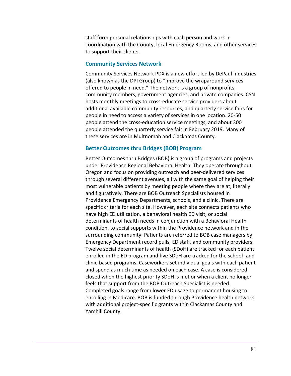staff form personal relationships with each person and work in coordination with the County, local Emergency Rooms, and other services to support their clients.

#### **Community Services Network**

Community Services Network PDX is a new effort led by DePaul Industries (also known as the DPI Group) to "improve the wraparound services offered to people in need." The network is a group of nonprofits, community members, government agencies, and private companies. CSN hosts monthly meetings to cross‐educate service providers about additional available community resources, and quarterly service fairs for people in need to access a variety of services in one location. 20‐50 people attend the cross‐education service meetings, and about 300 people attended the quarterly service fair in February 2019. Many of these services are in Multnomah and Clackamas County.

#### **Better Outcomes thru Bridges (BOB) Program**

Better Outcomes thru Bridges (BOB) is a group of programs and projects under Providence Regional Behavioral Health. They operate throughout Oregon and focus on providing outreach and peer‐delivered services through several different avenues, all with the same goal of helping their most vulnerable patients by meeting people where they are at, literally and figuratively. There are BOB Outreach Specialists housed in Providence Emergency Departments, schools, and a clinic. There are specific criteria for each site. However, each site connects patients who have high ED utilization, a behavioral health ED visit, or social determinants of health needs in conjunction with a Behavioral Health condition, to social supports within the Providence network and in the surrounding community. Patients are referred to BOB case managers by Emergency Department record pulls, ED staff, and community providers. Twelve social determinants of health (SDoH) are tracked for each patient enrolled in the ED program and five SDoH are tracked for the school‐ and clinic‐based programs. Caseworkers set individual goals with each patient and spend as much time as needed on each case. A case is considered closed when the highest priority SDoH is met or when a client no longer feels that support from the BOB Outreach Specialist is needed. Completed goals range from lower ED usage to permanent housing to enrolling in Medicare. BOB is funded through Providence health network with additional project‐specific grants within Clackamas County and Yamhill County.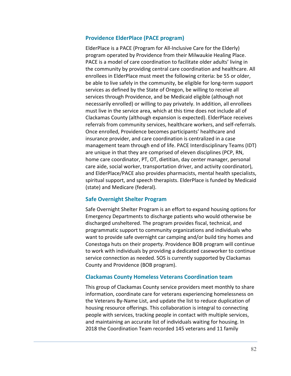## **Providence ElderPlace (PACE program)**

ElderPlace is a PACE (Program for All‐Inclusive Care for the Elderly) program operated by Providence from their Milwaukie Healing Place. PACE is a model of care coordination to facilitate older adults' living in the community by providing central care coordination and healthcare. All enrollees in ElderPlace must meet the following criteria: be 55 or older, be able to live safely in the community, be eligible for long-term support services as defined by the State of Oregon, be willing to receive all services through Providence, and be Medicaid eligible (although not necessarily enrolled) or willing to pay privately. In addition, all enrollees must live in the service area, which at this time does not include all of Clackamas County (although expansion is expected). ElderPlace receives referrals from community services, healthcare workers, and self‐referrals. Once enrolled, Providence becomes participants' healthcare and insurance provider, and care coordination is centralized in a case management team through end of life. PACE Interdisciplinary Teams (IDT) are unique in that they are comprised of eleven disciplines (PCP, RN, home care coordinator, PT, OT, dietitian, day center manager, personal care aide, social worker, transportation driver, and activity coordinator), and ElderPlace/PACE also provides pharmacists, mental health specialists, spiritual support, and speech therapists. ElderPlace is funded by Medicaid (state) and Medicare (federal).

## **Safe Overnight Shelter Program**

Safe Overnight Shelter Program is an effort to expand housing options for Emergency Departments to discharge patients who would otherwise be discharged unsheltered. The program provides fiscal, technical, and programmatic support to community organizations and individuals who want to provide safe overnight car camping and/or build tiny homes and Conestoga huts on their property. Providence BOB program will continue to work with individuals by providing a dedicated caseworker to continue service connection as needed. SOS is currently supported by Clackamas County and Providence (BOB program).

## **Clackamas County Homeless Veterans Coordination team**

This group of Clackamas County service providers meet monthly to share information, coordinate care for veterans experiencing homelessness on the Veterans By‐Name List, and update the list to reduce duplication of housing resource offerings. This collaboration is integral to connecting people with services, tracking people in contact with multiple services, and maintaining an accurate list of individuals waiting for housing. In 2018 the Coordination Team recorded 145 veterans and 11 family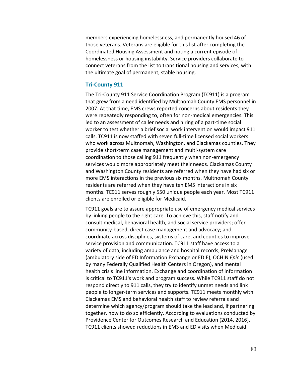members experiencing homelessness, and permanently housed 46 of those veterans. Veterans are eligible for this list after completing the Coordinated Housing Assessment and noting a current episode of homelessness or housing instability. Service providers collaborate to connect veterans from the list to transitional housing and services, with the ultimate goal of permanent, stable housing.

#### **Tri‐County 911**

The Tri‐County 911 Service Coordination Program (TC911) is a program that grew from a need identified by Multnomah County EMS personnel in 2007. At that time, EMS crews reported concerns about residents they were repeatedly responding to, often for non-medical emergencies. This led to an assessment of caller needs and hiring of a part-time social worker to test whether a brief social work intervention would impact 911 calls. TC911 is now staffed with seven full‐time licensed social workers who work across Multnomah, Washington, and Clackamas counties. They provide short‐term case management and multi‐system care coordination to those calling 911 frequently when non‐emergency services would more appropriately meet their needs. Clackamas County and Washington County residents are referred when they have had six or more EMS interactions in the previous six months. Multnomah County residents are referred when they have ten EMS interactions in six months. TC911 serves roughly 550 unique people each year. Most TC911 clients are enrolled or eligible for Medicaid.

TC911 goals are to assure appropriate use of emergency medical services by linking people to the right care. To achieve this, staff notify and consult medical, behavioral health, and social service providers; offer community‐based, direct case management and advocacy; and coordinate across disciplines, systems of care, and counties to improve service provision and communication. TC911 staff have access to a variety of data, including ambulance and hospital records, PreManage (ambulatory side of ED Information Exchange or EDIE), OCHIN *Epic* (used by many Federally Qualified Health Centers in Oregon), and mental health crisis line information. Exchange and coordination of information is critical to TC911's work and program success. While TC911 staff do not respond directly to 911 calls, they try to identify unmet needs and link people to longer‐term services and supports. TC911 meets monthly with Clackamas EMS and behavioral health staff to review referrals and determine which agency/program should take the lead and, if partnering together, how to do so efficiently. According to evaluations conducted by Providence Center for Outcomes Research and Education (2014, 2016), TC911 clients showed reductions in EMS and ED visits when Medicaid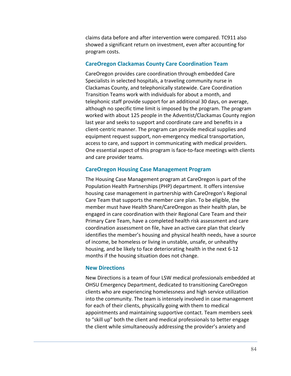claims data before and after intervention were compared. TC911 also showed a significant return on investment, even after accounting for program costs.

## **CareOregon Clackamas County Care Coordination Team**

CareOregon provides care coordination through embedded Care Specialists in selected hospitals, a traveling community nurse in Clackamas County, and telephonically statewide. Care Coordination Transition Teams work with individuals for about a month, and telephonic staff provide support for an additional 30 days, on average, although no specific time limit is imposed by the program. The program worked with about 125 people in the Adventist/Clackamas County region last year and seeks to support and coordinate care and benefits in a client‐centric manner. The program can provide medical supplies and equipment request support, non-emergency medical transportation, access to care, and support in communicating with medical providers. One essential aspect of this program is face‐to‐face meetings with clients and care provider teams.

### **CareOregon Housing Case Management Program**

The Housing Case Management program at CareOregon is part of the Population Health Partnerships (PHP) department. It offers intensive housing case management in partnership with CareOregon's Regional Care Team that supports the member care plan. To be eligible, the member must have Health Share/CareOregon as their health plan, be engaged in care coordination with their Regional Care Team and their Primary Care Team, have a completed health risk assessment and care coordination assessment on file, have an active care plan that clearly identifies the member's housing and physical health needs, have a source of income, be homeless or living in unstable, unsafe, or unhealthy housing, and be likely to face deteriorating health in the next 6‐12 months if the housing situation does not change.

#### **New Directions**

New Directions is a team of four LSW medical professionals embedded at OHSU Emergency Department, dedicated to transitioning CareOregon clients who are experiencing homelessness and high service utilization into the community. The team is intensely involved in case management for each of their clients, physically going with them to medical appointments and maintaining supportive contact. Team members seek to "skill up" both the client and medical professionals to better engage the client while simultaneously addressing the provider's anxiety and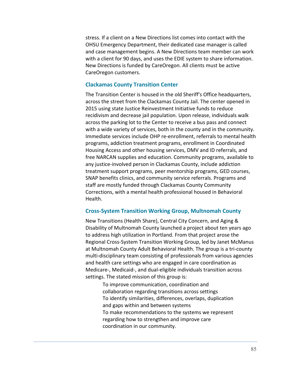stress. If a client on a New Directions list comes into contact with the OHSU Emergency Department, their dedicated case manager is called and case management begins. A New Directions team member can work with a client for 90 days, and uses the EDIE system to share information. New Directions is funded by CareOregon. All clients must be active CareOregon customers.

## **Clackamas County Transition Center**

The Transition Center is housed in the old Sheriff's Office headquarters, across the street from the Clackamas County Jail. The center opened in 2015 using state Justice Reinvestment Initiative funds to reduce recidivism and decrease jail population. Upon release, individuals walk across the parking lot to the Center to receive a bus pass and connect with a wide variety of services, both in the county and in the community. Immediate services include OHP re‐enrollment, referrals to mental health programs, addiction treatment programs, enrollment in Coordinated Housing Access and other housing services, DMV and ID referrals, and free NARCAN supplies and education. Community programs, available to any justice‐involved person in Clackamas County, include addiction treatment support programs, peer mentorship programs, GED courses, SNAP benefits clinics, and community service referrals. Programs and staff are mostly funded through Clackamas County Community Corrections, with a mental health professional housed in Behavioral Health.

#### **Cross‐System Transition Working Group, Multnomah County**

New Transitions (Health Share), Central City Concern, and Aging & Disability of Multnomah County launched a project about ten years ago to address high utilization in Portland. From that project arose the Regional Cross‐System Transition Working Group, led by Janet McManus at Multnomah County Adult Behavioral Health. The group is a tri‐county multi-disciplinary team consisting of professionals from various agencies and health care settings who are engaged in care coordination as Medicare‐, Medicaid‐, and dual‐eligible individuals transition across settings. The stated mission of this group is:

> To improve communication, coordination and collaboration regarding transitions across settings To identify similarities, differences, overlaps, duplication and gaps within and between systems To make recommendations to the systems we represent regarding how to strengthen and improve care coordination in our community.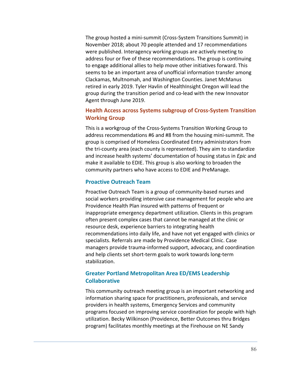The group hosted a mini‐summit (Cross‐System Transitions Summit) in November 2018; about 70 people attended and 17 recommendations were published. Interagency working groups are actively meeting to address four or five of these recommendations. The group is continuing to engage additional allies to help move other initiatives forward. This seems to be an important area of unofficial information transfer among Clackamas, Multnomah, and Washington Counties. Janet McManus retired in early 2019. Tyler Havlin of HealthInsight Oregon will lead the group during the transition period and co‐lead with the new Innovator Agent through June 2019.

## **Health Access across Systems subgroup of Cross‐System Transition Working Group**

This is a workgroup of the Cross‐Systems Transition Working Group to address recommendations #6 and #8 from the housing mini‐summit. The group is comprised of Homeless Coordinated Entry administrators from the tri-county area (each county is represented). They aim to standardize and increase health systems' documentation of housing status in *Epic* and make it available to EDIE. This group is also working to broaden the community partners who have access to EDIE and PreManage.

## **Proactive Outreach Team**

Proactive Outreach Team is a group of community‐based nurses and social workers providing intensive case management for people who are Providence Health Plan insured with patterns of frequent or inappropriate emergency department utilization. Clients in this program often present complex cases that cannot be managed at the clinic or resource desk, experience barriers to integrating health recommendations into daily life, and have not yet engaged with clinics or specialists. Referrals are made by Providence Medical Clinic. Case managers provide trauma‐informed support, advocacy, and coordination and help clients set short‐term goals to work towards long‐term stabilization.

## **Greater Portland Metropolitan Area ED/EMS Leadership Collaborative**

This community outreach meeting group is an important networking and information sharing space for practitioners, professionals, and service providers in health systems, Emergency Services and community programs focused on improving service coordination for people with high utilization. Becky Wilkinson (Providence, Better Outcomes thru Bridges program) facilitates monthly meetings at the Firehouse on NE Sandy